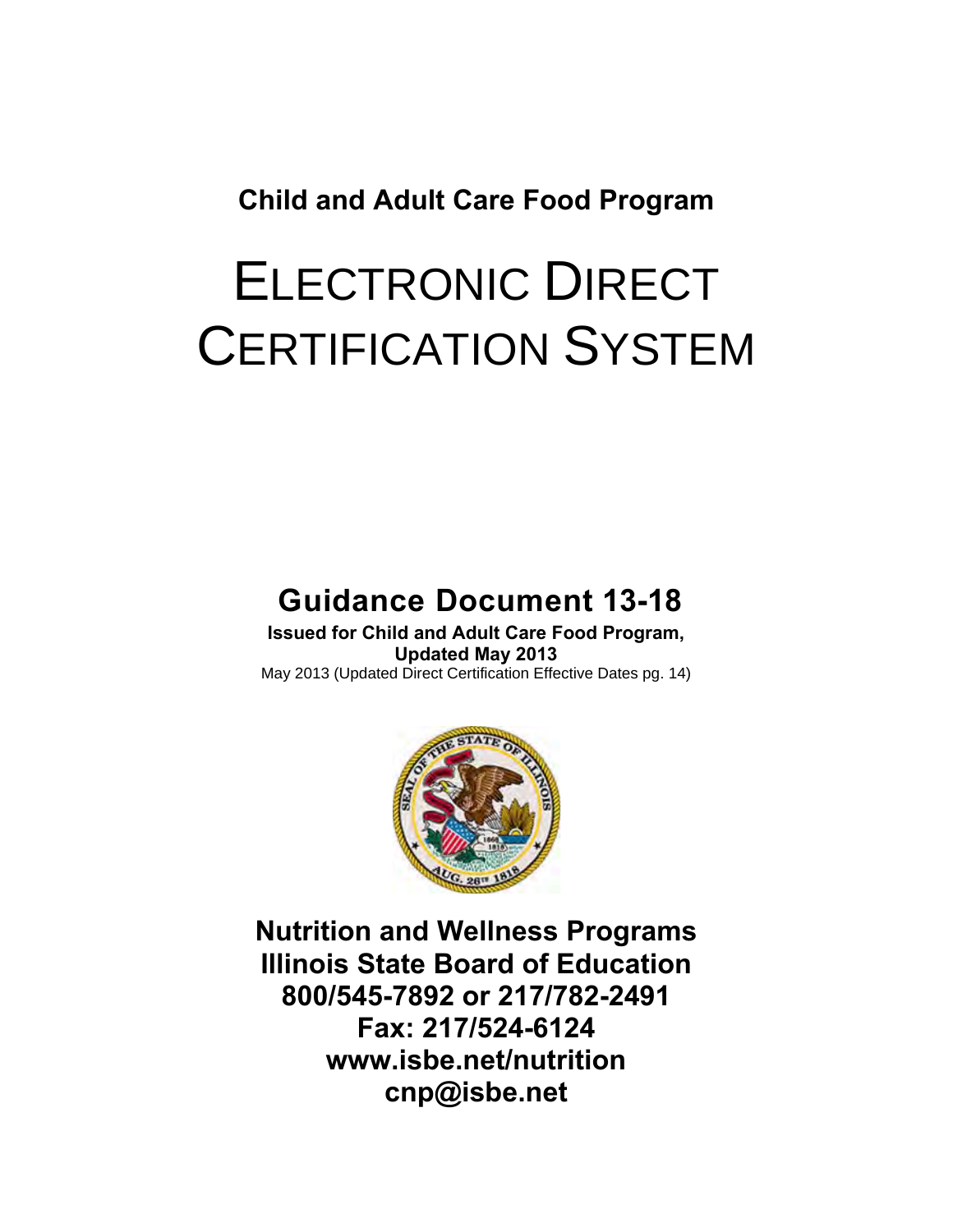**Child and Adult Care Food Program**

# ELECTRONIC DIRECT CERTIFICATION SYSTEM

# **Guidance Document 13-18**

**Issued for Child and Adult Care Food Program, Updated May 2013** May 2013 (Updated Direct Certification Effective Dates pg. 14)



**Nutrition and Wellness Programs Illinois State Board of Education 800/545-7892 or 217/782-2491 Fax: 217/524-6124 www.isbe.net/nutrition cnp@isbe.net**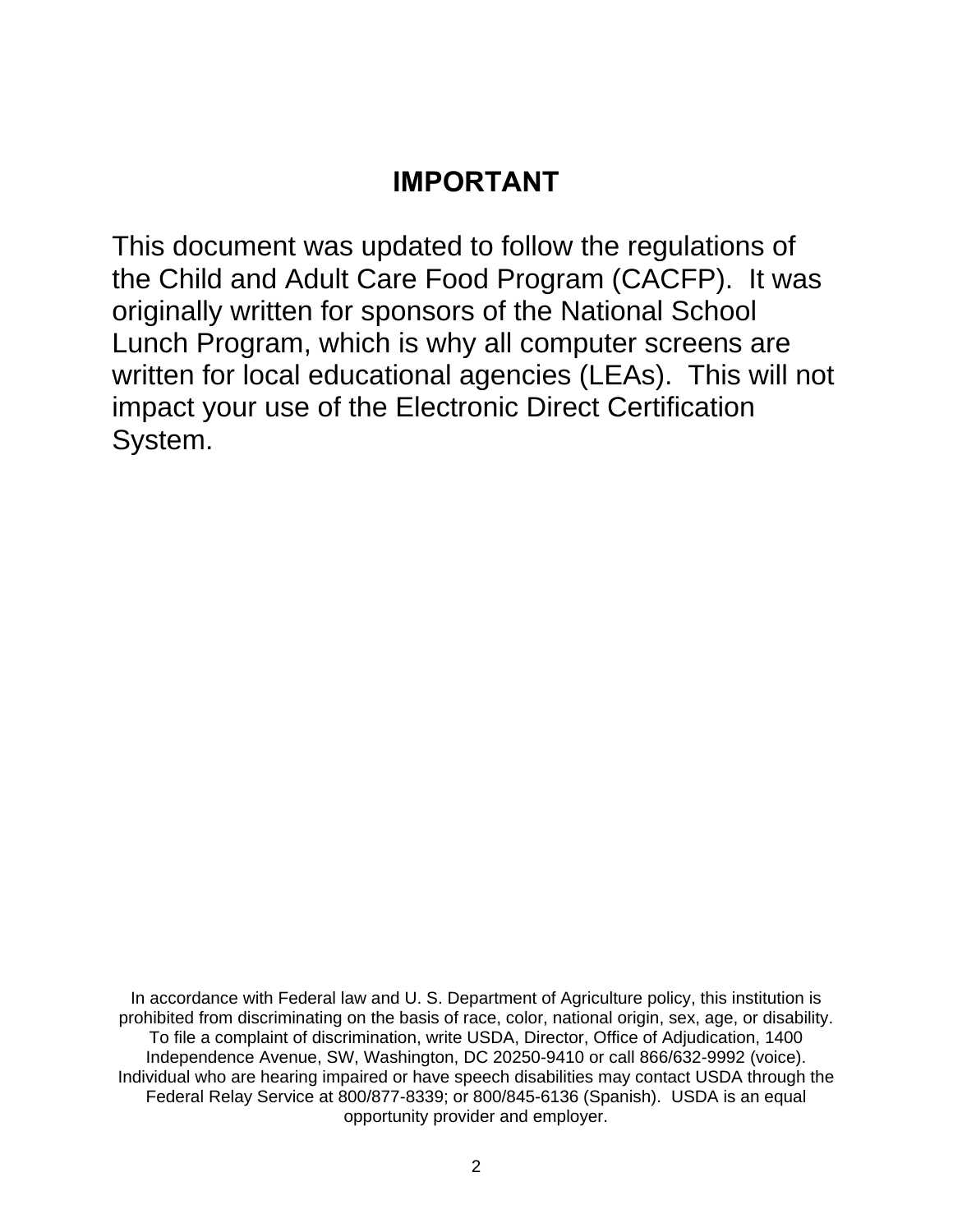# **IMPORTANT**

This document was updated to follow the regulations of the Child and Adult Care Food Program (CACFP). It was originally written for sponsors of the National School Lunch Program, which is why all computer screens are written for local educational agencies (LEAs). This will not impact your use of the Electronic Direct Certification System.

In accordance with Federal law and U. S. Department of Agriculture policy, this institution is prohibited from discriminating on the basis of race, color, national origin, sex, age, or disability. To file a complaint of discrimination, write USDA, Director, Office of Adjudication, 1400 Independence Avenue, SW, Washington, DC 20250-9410 or call 866/632-9992 (voice). Individual who are hearing impaired or have speech disabilities may contact USDA through the Federal Relay Service at 800/877-8339; or 800/845-6136 (Spanish). USDA is an equal opportunity provider and employer.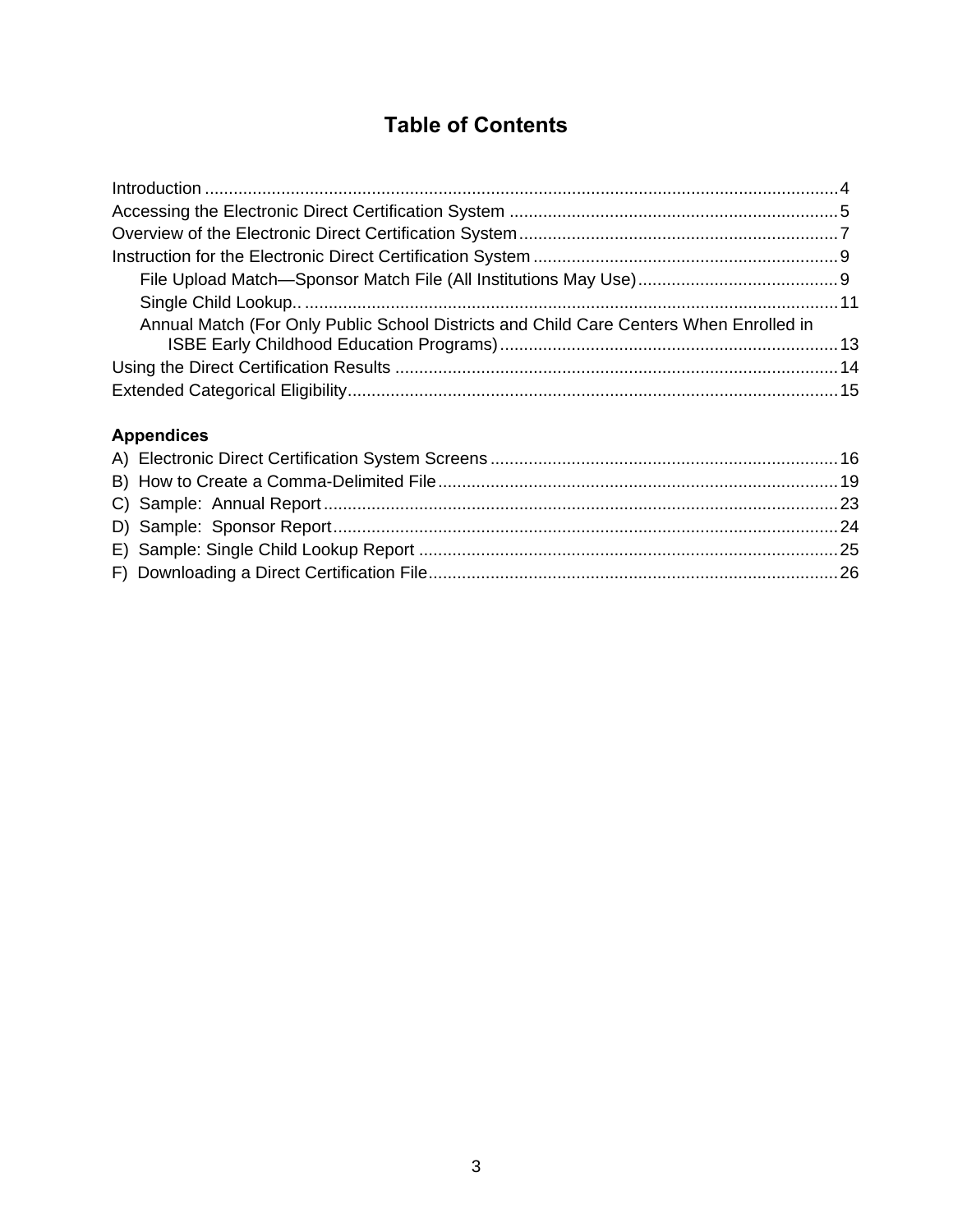# **Table of Contents**

| Annual Match (For Only Public School Districts and Child Care Centers When Enrolled in |  |
|----------------------------------------------------------------------------------------|--|
|                                                                                        |  |
|                                                                                        |  |

### **Appendices**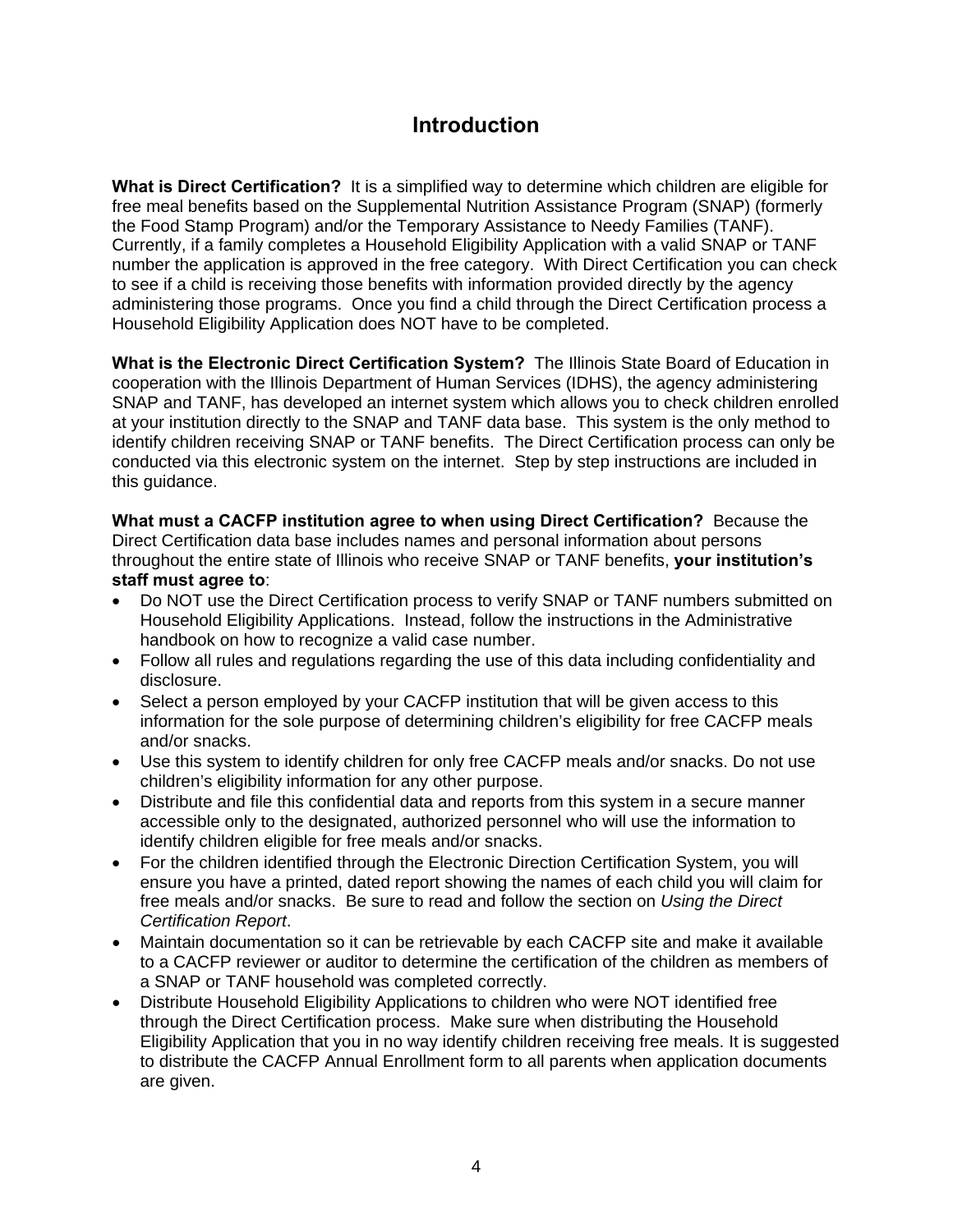# **Introduction**

**What is Direct Certification?** It is a simplified way to determine which children are eligible for free meal benefits based on the Supplemental Nutrition Assistance Program (SNAP) (formerly the Food Stamp Program) and/or the Temporary Assistance to Needy Families (TANF). Currently, if a family completes a Household Eligibility Application with a valid SNAP or TANF number the application is approved in the free category. With Direct Certification you can check to see if a child is receiving those benefits with information provided directly by the agency administering those programs. Once you find a child through the Direct Certification process a Household Eligibility Application does NOT have to be completed.

**What is the Electronic Direct Certification System?** The Illinois State Board of Education in cooperation with the Illinois Department of Human Services (IDHS), the agency administering SNAP and TANF, has developed an internet system which allows you to check children enrolled at your institution directly to the SNAP and TANF data base. This system is the only method to identify children receiving SNAP or TANF benefits. The Direct Certification process can only be conducted via this electronic system on the internet. Step by step instructions are included in this guidance.

**What must a CACFP institution agree to when using Direct Certification?** Because the Direct Certification data base includes names and personal information about persons throughout the entire state of Illinois who receive SNAP or TANF benefits, **your institution's staff must agree to**:

- Do NOT use the Direct Certification process to verify SNAP or TANF numbers submitted on Household Eligibility Applications. Instead, follow the instructions in the Administrative handbook on how to recognize a valid case number.
- Follow all rules and regulations regarding the use of this data including confidentiality and disclosure.
- Select a person employed by your CACFP institution that will be given access to this information for the sole purpose of determining children's eligibility for free CACFP meals and/or snacks.
- Use this system to identify children for only free CACFP meals and/or snacks. Do not use children's eligibility information for any other purpose.
- Distribute and file this confidential data and reports from this system in a secure manner accessible only to the designated, authorized personnel who will use the information to identify children eligible for free meals and/or snacks.
- For the children identified through the Electronic Direction Certification System, you will ensure you have a printed, dated report showing the names of each child you will claim for free meals and/or snacks. Be sure to read and follow the section on *Using the Direct Certification Report*.
- Maintain documentation so it can be retrievable by each CACFP site and make it available to a CACFP reviewer or auditor to determine the certification of the children as members of a SNAP or TANF household was completed correctly.
- Distribute Household Eligibility Applications to children who were NOT identified free through the Direct Certification process. Make sure when distributing the Household Eligibility Application that you in no way identify children receiving free meals. It is suggested to distribute the CACFP Annual Enrollment form to all parents when application documents are given.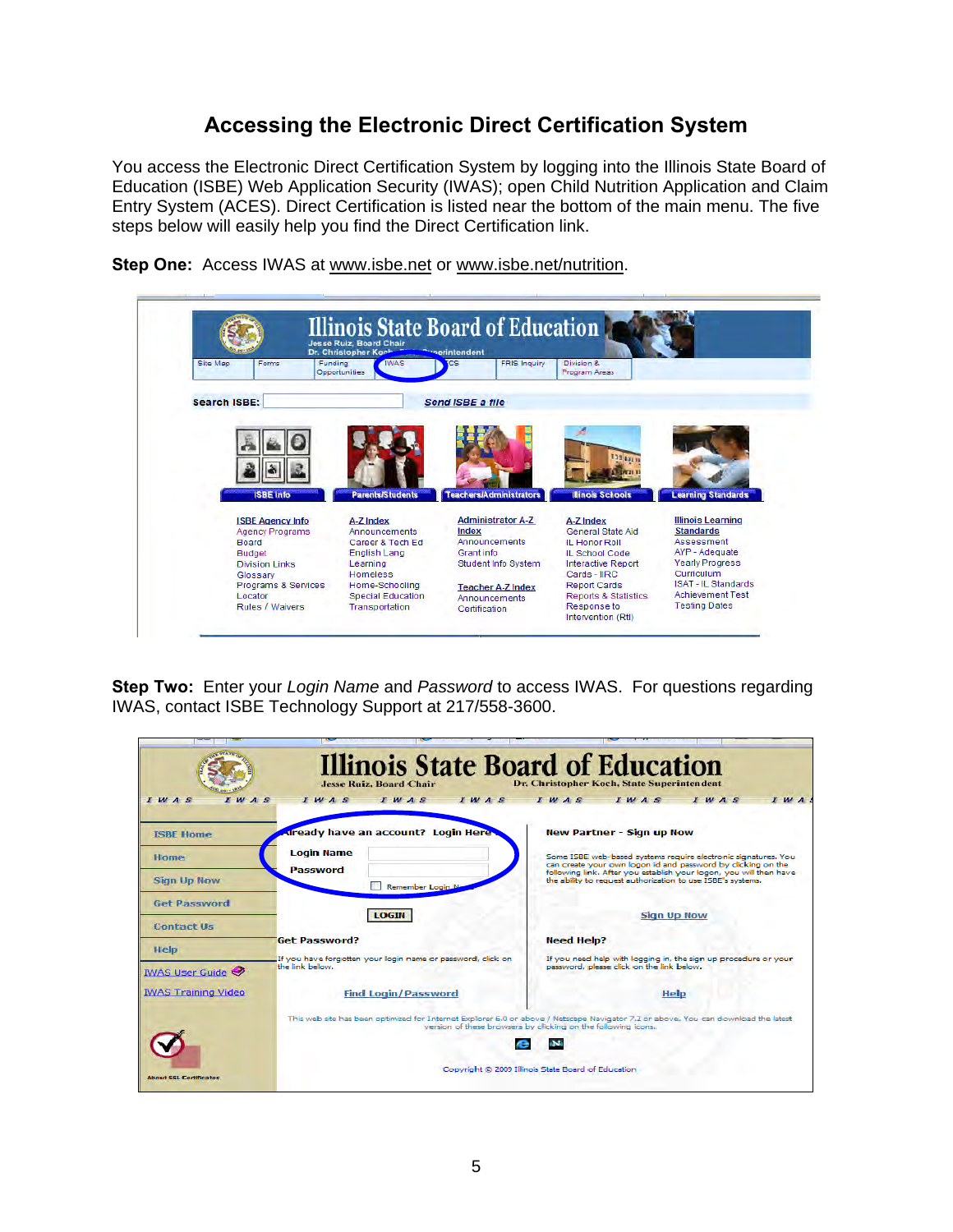### **Accessing the Electronic Direct Certification System**

You access the Electronic Direct Certification System by logging into the Illinois State Board of Education (ISBE) Web Application Security (IWAS); open Child Nutrition Application and Claim Entry System (ACES). Direct Certification is listed near the bottom of the main menu. The five steps below will easily help you find the Direct Certification link.



**Step One:** Access IWAS at [www.isbe.net](http://www.isbe.net/) or www.isbe.net/nutrition.

**Step Two:** Enter your *Login Name* and *Password* to access IWAS. For questions regarding IWAS, contact ISBE Technology Support at 217/558-3600.

| $I$ W $A$ $S$<br>M A S                   | <b>Illinois State Board of Education</b><br><b>Jesse Ruiz, Board Chair</b><br>IWAS<br>$I$ $M$ $A$ $S$<br>IWAS | Dr. Christopher Koch, State Superintendent<br>$I$ $M$ $A$ $S$<br>IWAS<br>$I$ $M$ $A$<br>IWAS                                                                                                                                                                        |
|------------------------------------------|---------------------------------------------------------------------------------------------------------------|---------------------------------------------------------------------------------------------------------------------------------------------------------------------------------------------------------------------------------------------------------------------|
| <b>ISBE Home</b>                         | <b>Already have an account? Login Here-</b>                                                                   | <b>New Partner - Sign up Now</b>                                                                                                                                                                                                                                    |
| Home<br><b>Sign Up Now</b>               | <b>Login Name</b><br><b>Password</b><br>Remember Login N                                                      | Some ISBE web-based systems require electronic signatures. You<br>can create your own logon id and password by clicking on the<br>following link. After you establish your logon, you will then have<br>the ability to request authorization to use ISBE's systems. |
| <b>Get Password</b><br><b>Contact Us</b> | <b>LOGIN</b>                                                                                                  | <b>Sign Up Now</b>                                                                                                                                                                                                                                                  |
| <b>Help</b>                              | <b>Get Password?</b><br>If you have forgotten your login name or password, click on                           | <b>Need Help?</b><br>If you need help with logging in, the sign up procedure or your                                                                                                                                                                                |
| <b>IWAS User Guide</b>                   | the link helow.                                                                                               | password, please click on the link below.                                                                                                                                                                                                                           |
| <b>IWAS Training Video</b>               | <b>Find Login/Password</b>                                                                                    | Help                                                                                                                                                                                                                                                                |
|                                          |                                                                                                               | This web site has been optimized for Internet Explorer 6.0 or above / Netscape Navigator 7.2 or above, You can download the latest<br>version of these browsers by clicking on the following icons.                                                                 |
|                                          |                                                                                                               |                                                                                                                                                                                                                                                                     |
| <b>About SSL Certificates</b>            |                                                                                                               | Copyright @ 2009 Illinois State Board of Education                                                                                                                                                                                                                  |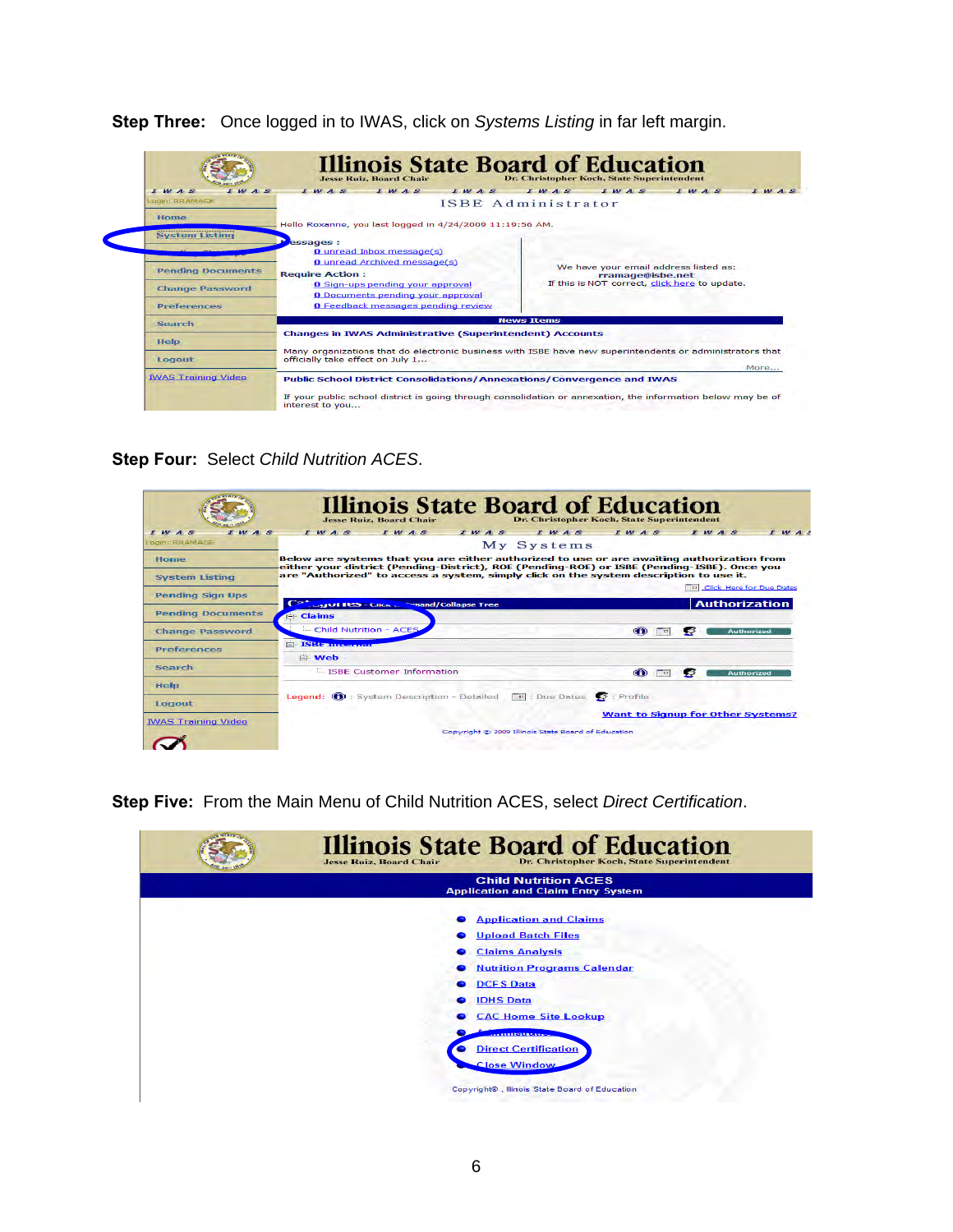

**Step Three:** Once logged in to IWAS, click on *Systems Listing* in far left margin.

**Step Four:** Select *Child Nutrition ACES*.

|                                                                             | <b>Illinois State Board of Education</b><br><b>Jesse Ruiz, Board Chair</b>                                                                                                                                                                                                                                                | Dr. Christopher Koch, State Superintendent       |
|-----------------------------------------------------------------------------|---------------------------------------------------------------------------------------------------------------------------------------------------------------------------------------------------------------------------------------------------------------------------------------------------------------------------|--------------------------------------------------|
| $I$ $M$ $A$ $S$<br>M A S<br>Login: RRAMAGE<br>Home<br><b>System Listing</b> | IWAS<br>IWAS<br>IWAS<br>My Systems<br>Below are systems that you are either authorized to use or are awaiting authorization from<br>either your district (Pending-District), ROE (Pending-ROE) or ISBE (Pending-ISBE). Once you<br>are "Authorized" to access a system, simply click on the system description to use it. | IWAS<br>IWAS<br>I W A S<br>$I$ $M$ $A$ $I$       |
| <b>Pending Sign Ups</b>                                                     | $C_{\mathbb{Z}}$<br><b>Expand/Collapse Tree</b><br>LAND HOST CHART                                                                                                                                                                                                                                                        | Click Here for Due Dates<br><b>Authorization</b> |
| <b>Pending Documents</b>                                                    | $\Box$ Claims                                                                                                                                                                                                                                                                                                             |                                                  |
| <b>Change Password</b>                                                      | - Child Nutrition - ACES                                                                                                                                                                                                                                                                                                  | $\bigcirc$<br><b>Authorized</b><br><b>HI</b>     |
| Preferences                                                                 | <b>EXISTENTIAL</b><br><b>E</b> Web                                                                                                                                                                                                                                                                                        |                                                  |
| Search                                                                      | L. ISBE Customer Information                                                                                                                                                                                                                                                                                              | $\bigcirc$<br><b>Authorized</b>                  |
| Help<br>Logout<br><b>IWAS Training Video</b>                                | Legend: 1 : System Description - Detailed   E : Due Dates   2 : Profile                                                                                                                                                                                                                                                   | <b>Want to Signup for Other Systems?</b>         |

**Step Five:** From the Main Menu of Child Nutrition ACES, select *Direct Certification*.

| <b>Illinois State Board of Education</b><br>Dr. Christopher Koch, State Superintendent<br><b>Jesse Ruiz, Board Chair</b> |
|--------------------------------------------------------------------------------------------------------------------------|
| <b>Child Nutrition ACES</b><br><b>Application and Claim Entry System</b>                                                 |
| <b>Application and Claims</b>                                                                                            |
| <b>Upload Batch Files</b>                                                                                                |
| <b>Claims Analysis</b>                                                                                                   |
| <b>Nutrition Programs Calendar</b>                                                                                       |
| <b>DCFS Data</b>                                                                                                         |
| <b>IDHS Data</b>                                                                                                         |
| <b>CAC Home Site Lookup</b>                                                                                              |
| <b>CONSTRUCTION</b>                                                                                                      |
| <b>Direct Certification</b>                                                                                              |
| <b>Close Window</b>                                                                                                      |
| Copyright®, Illinois State Board of Education                                                                            |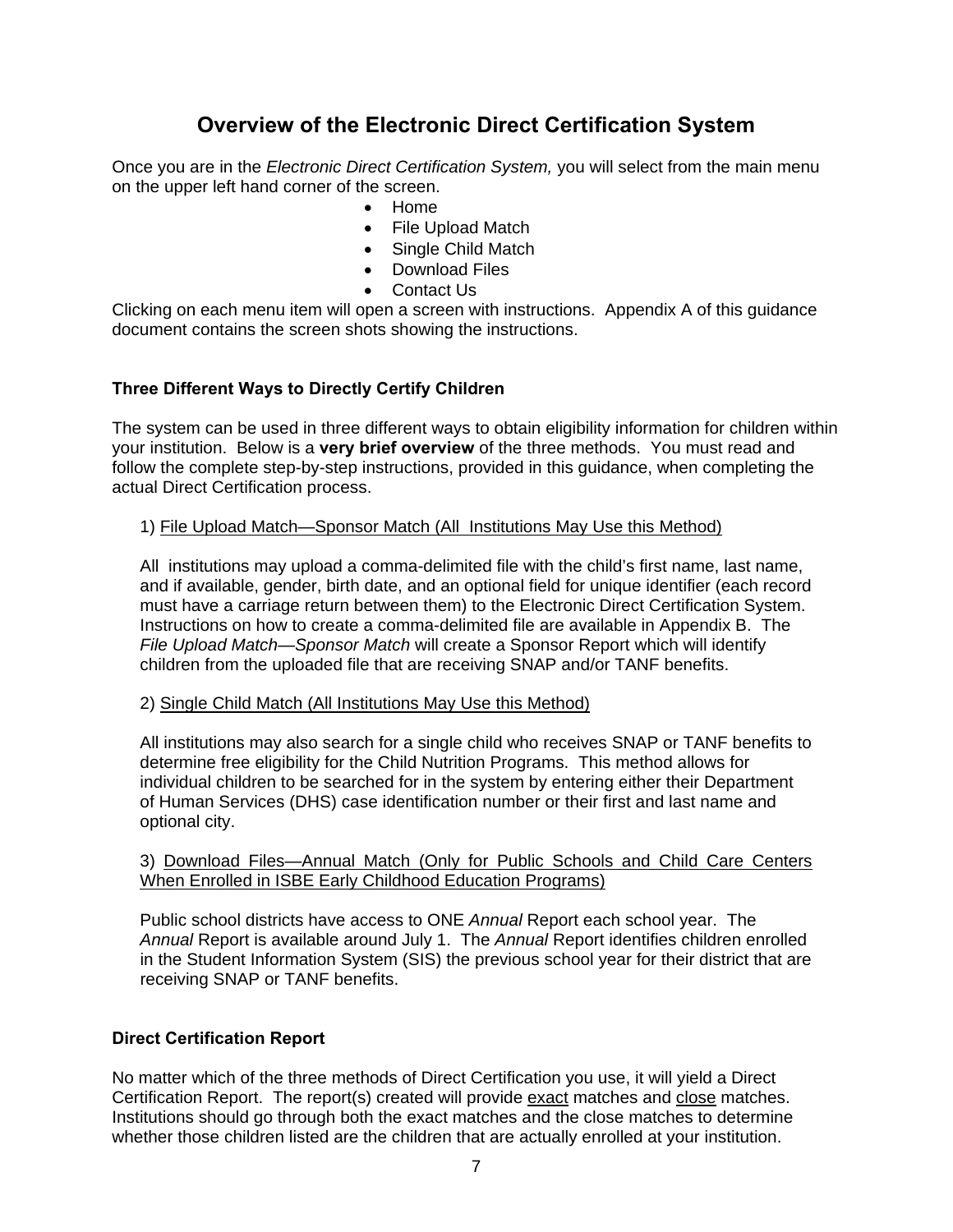# **Overview of the Electronic Direct Certification System**

Once you are in the *Electronic Direct Certification System,* you will select from the main menu on the upper left hand corner of the screen.

- Home
- File Upload Match
- Single Child Match
- Download Files
- Contact Us

Clicking on each menu item will open a screen with instructions. Appendix A of this guidance document contains the screen shots showing the instructions.

#### **Three Different Ways to Directly Certify Children**

The system can be used in three different ways to obtain eligibility information for children within your institution. Below is a **very brief overview** of the three methods. You must read and follow the complete step-by-step instructions, provided in this guidance, when completing the actual Direct Certification process.

#### 1) File Upload Match—Sponsor Match (All Institutions May Use this Method)

All institutions may upload a comma-delimited file with the child's first name, last name, and if available, gender, birth date, and an optional field for unique identifier (each record must have a carriage return between them) to the Electronic Direct Certification System. Instructions on how to create a comma-delimited file are available in Appendix B. The *File Upload Match—Sponsor Match* will create a Sponsor Report which will identify children from the uploaded file that are receiving SNAP and/or TANF benefits.

2) Single Child Match (All Institutions May Use this Method)

All institutions may also search for a single child who receives SNAP or TANF benefits to determine free eligibility for the Child Nutrition Programs. This method allows for individual children to be searched for in the system by entering either their Department of Human Services (DHS) case identification number or their first and last name and optional city.

#### 3) Download Files—Annual Match (Only for Public Schools and Child Care Centers When Enrolled in ISBE Early Childhood Education Programs)

Public school districts have access to ONE *Annual* Report each school year. The *Annual* Report is available around July 1. The *Annual* Report identifies children enrolled in the Student Information System (SIS) the previous school year for their district that are receiving SNAP or TANF benefits.

#### **Direct Certification Report**

No matter which of the three methods of Direct Certification you use, it will yield a Direct Certification Report. The report(s) created will provide exact matches and close matches. Institutions should go through both the exact matches and the close matches to determine whether those children listed are the children that are actually enrolled at your institution.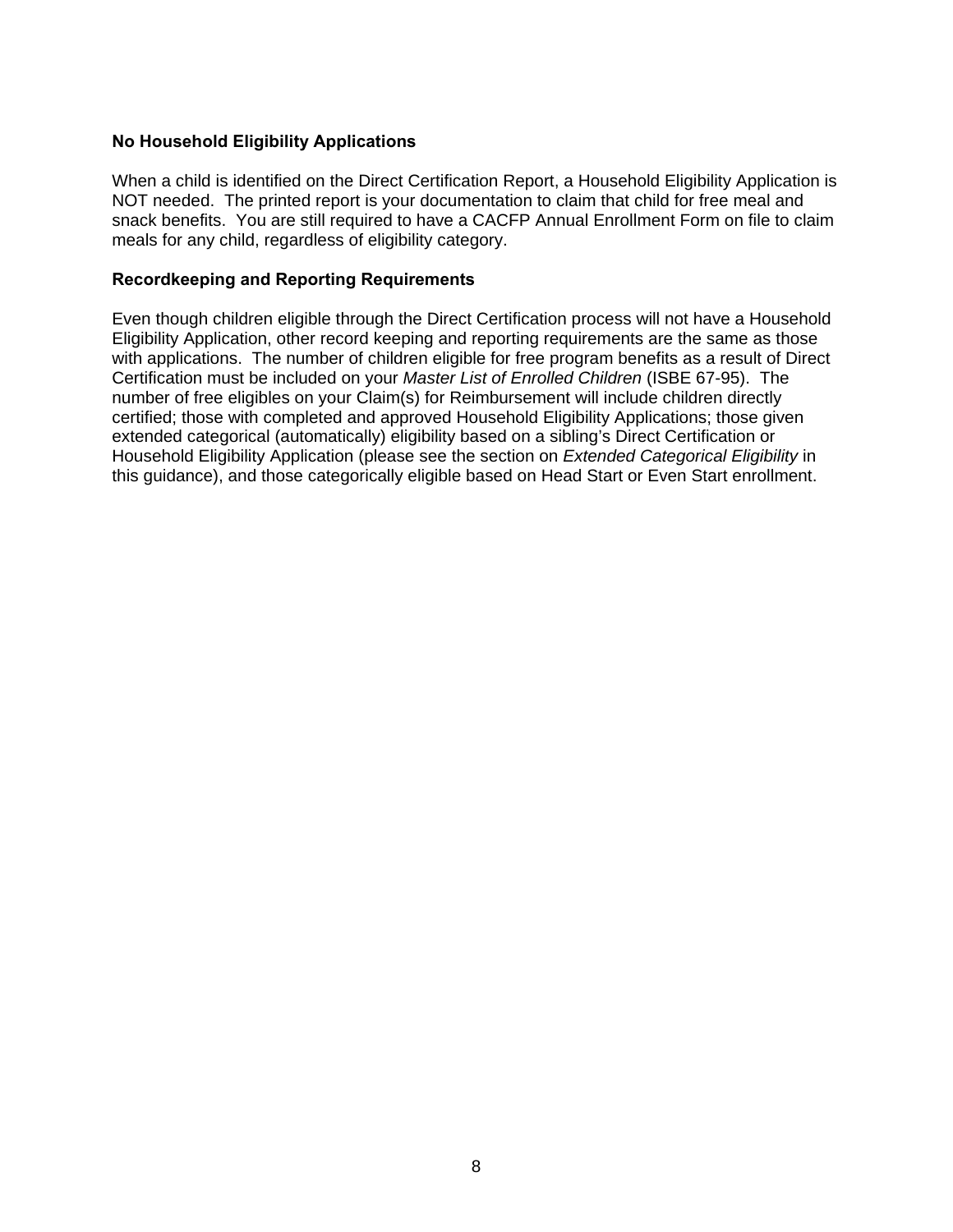#### **No Household Eligibility Applications**

When a child is identified on the Direct Certification Report, a Household Eligibility Application is NOT needed. The printed report is your documentation to claim that child for free meal and snack benefits. You are still required to have a CACFP Annual Enrollment Form on file to claim meals for any child, regardless of eligibility category.

#### **Recordkeeping and Reporting Requirements**

Even though children eligible through the Direct Certification process will not have a Household Eligibility Application, other record keeping and reporting requirements are the same as those with applications. The number of children eligible for free program benefits as a result of Direct Certification must be included on your *Master List of Enrolled Children* (ISBE 67-95). The number of free eligibles on your Claim(s) for Reimbursement will include children directly certified; those with completed and approved Household Eligibility Applications; those given extended categorical (automatically) eligibility based on a sibling's Direct Certification or Household Eligibility Application (please see the section on *Extended Categorical Eligibility* in this guidance), and those categorically eligible based on Head Start or Even Start enrollment.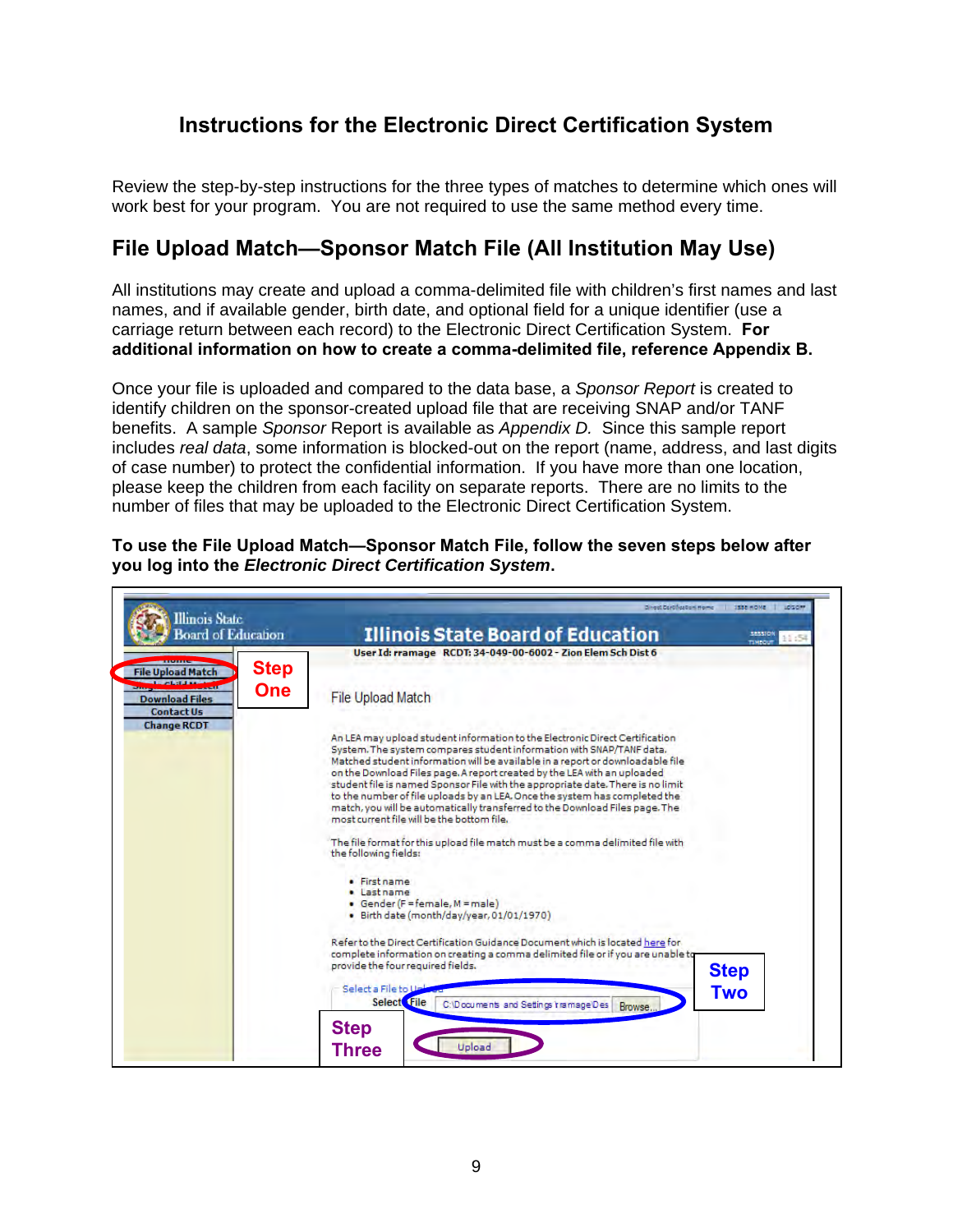# **Instructions for the Electronic Direct Certification System**

Review the step-by-step instructions for the three types of matches to determine which ones will work best for your program. You are not required to use the same method every time.

# **File Upload Match—Sponsor Match File (All Institution May Use)**

All institutions may create and upload a comma-delimited file with children's first names and last names, and if available gender, birth date, and optional field for a unique identifier (use a carriage return between each record) to the Electronic Direct Certification System. **For additional information on how to create a comma-delimited file, reference Appendix B.**

Once your file is uploaded and compared to the data base, a *Sponsor Report* is created to identify children on the sponsor-created upload file that are receiving SNAP and/or TANF benefits. A sample *Sponsor* Report is available as *Appendix D.* Since this sample report includes *real data*, some information is blocked-out on the report (name, address, and last digits of case number) to protect the confidential information. If you have more than one location, please keep the children from each facility on separate reports. There are no limits to the number of files that may be uploaded to the Electronic Direct Certification System.

**To use the File Upload Match—Sponsor Match File, follow the seven steps below after you log into the** *Electronic Direct Certification System***.** 

| <b>Illinois</b> State<br><b>Board of Education</b>                                                                        | <b>Illinois State Board of Education</b><br>3835100                                                                                                                                                                                                                                                                                                                                                                                   |
|---------------------------------------------------------------------------------------------------------------------------|---------------------------------------------------------------------------------------------------------------------------------------------------------------------------------------------------------------------------------------------------------------------------------------------------------------------------------------------------------------------------------------------------------------------------------------|
| <b>Step</b><br><b>File Upload Match</b><br><b>One</b><br><b>Download Files</b><br><b>Contact Us</b><br><b>Change RCDT</b> | TIMBOU<br>User Id: rramage RCDT: 34-049-00-6002 - Zion Elem Sch Dist 6<br><b>File Upload Match</b><br>An LEA may upload student information to the Electronic Direct Certification<br>System. The system compares student information with SNAP/TANF data.<br>Matched student information will be available in a report or downloadable file<br>on the Download Files page. A report created by the LEA with an uploaded              |
|                                                                                                                           | student file is named Sponsor File with the appropriate date. There is no limit<br>to the number of file uploads by an LEA. Once the system has completed the<br>match, you will be automatically transferred to the Download Files page. The<br>most current file will be the bottom file.<br>The file format for this upload file match must be a comma delimited file with<br>the following fields:<br>· First name<br>· Last name |
|                                                                                                                           | • Gender (F=female, M = male)<br>· Birth date (month/day/year, 01/01/1970)<br>Refer to the Direct Certification Guidance Document which is located here for<br>complete information on creating a comma delimited file or if you are unable to<br>provide the four required fields.<br><b>Step</b><br>Select a File to Us<br><b>Two</b><br>Select File<br>C:\Documents and Settings tramage\Des<br>Browse                             |
|                                                                                                                           | <b>Step</b><br>Upload<br><b>Three</b>                                                                                                                                                                                                                                                                                                                                                                                                 |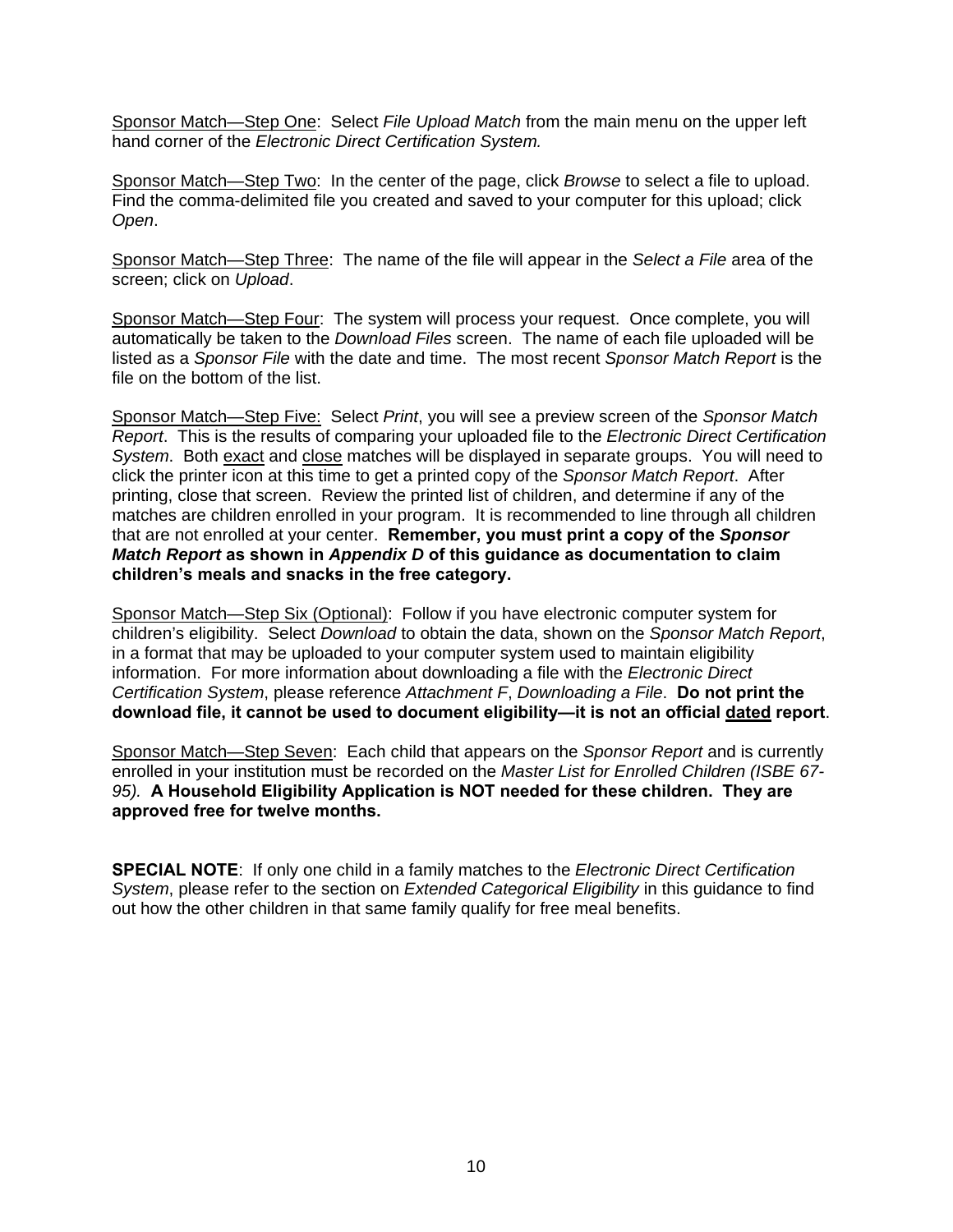Sponsor Match—Step One: Select *File Upload Match* from the main menu on the upper left hand corner of the *Electronic Direct Certification System.*

Sponsor Match—Step Two: In the center of the page, click *Browse* to select a file to upload. Find the comma-delimited file you created and saved to your computer for this upload; click *Open*.

Sponsor Match—Step Three: The name of the file will appear in the *Select a File* area of the screen; click on *Upload*.

Sponsor Match—Step Four:The system will process your request. Once complete, you will automatically be taken to the *Download Files* screen. The name of each file uploaded will be listed as a *Sponsor File* with the date and time. The most recent *Sponsor Match Report* is the file on the bottom of the list.

Sponsor Match—Step Five: Select *Print*, you will see a preview screen of the *Sponsor Match Report*. This is the results of comparing your uploaded file to the *Electronic Direct Certification System*. Both exact and close matches will be displayed in separate groups. You will need to click the printer icon at this time to get a printed copy of the *Sponsor Match Report*. After printing, close that screen. Review the printed list of children, and determine if any of the matches are children enrolled in your program. It is recommended to line through all children that are not enrolled at your center. **Remember, you must print a copy of the** *Sponsor Match Report* **as shown in** *Appendix D* **of this guidance as documentation to claim children's meals and snacks in the free category.** 

Sponsor Match-Step Six (Optional): Follow if you have electronic computer system for children's eligibility. Select *Download* to obtain the data, shown on the *Sponsor Match Report*, in a format that may be uploaded to your computer system used to maintain eligibility information. For more information about downloading a file with the *Electronic Direct Certification System*, please reference *Attachment F*, *Downloading a File*. **Do not print the download file, it cannot be used to document eligibility—it is not an official dated report**.

Sponsor Match—Step Seven: Each child that appears on the *Sponsor Report* and is currently enrolled in your institution must be recorded on the *Master List for Enrolled Children (ISBE 67- 95).* **A Household Eligibility Application is NOT needed for these children. They are approved free for twelve months.**

**SPECIAL NOTE**: If only one child in a family matches to the *Electronic Direct Certification System*, please refer to the section on *Extended Categorical Eligibility* in this guidance to find out how the other children in that same family qualify for free meal benefits.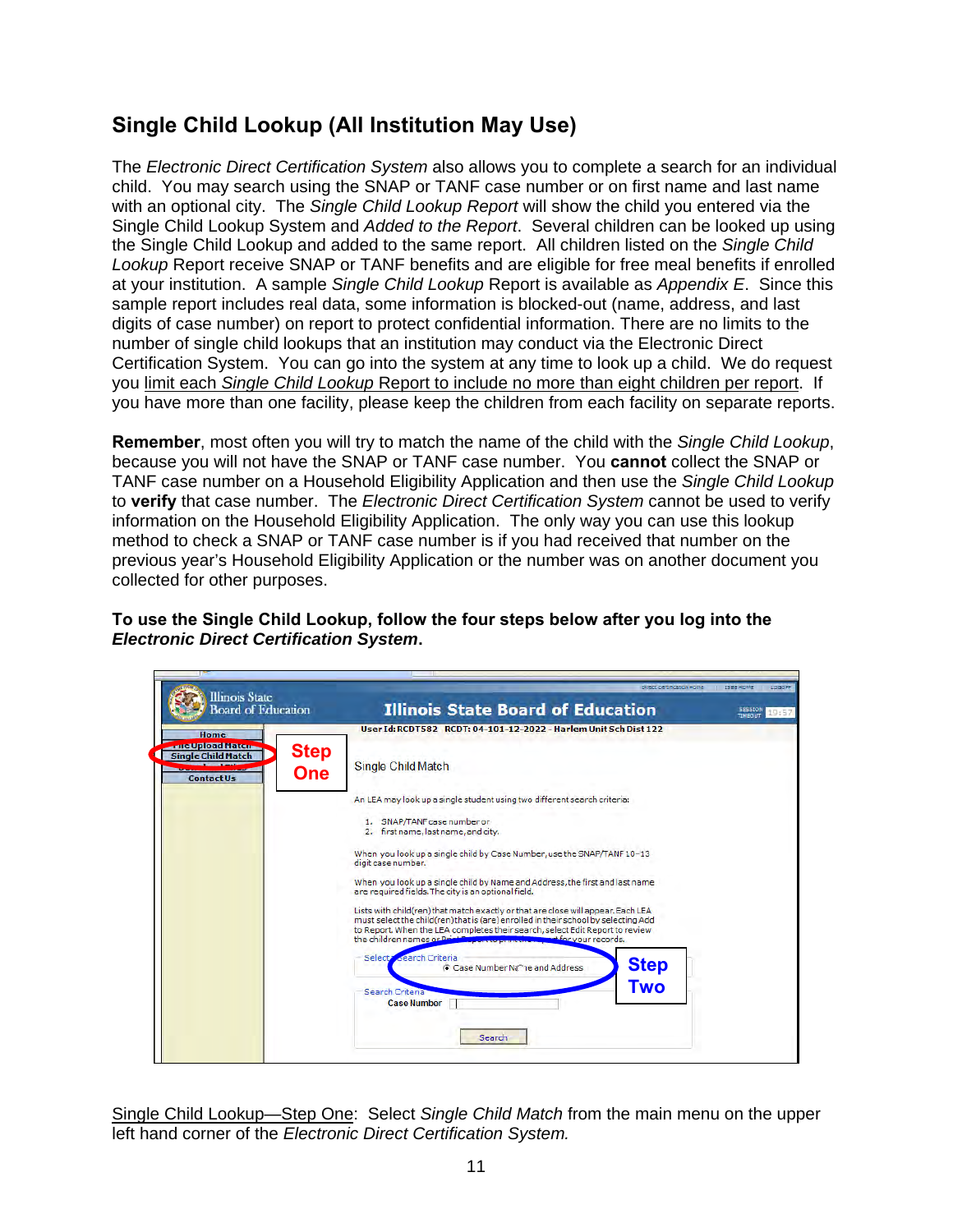# **Single Child Lookup (All Institution May Use)**

The *Electronic Direct Certification System* also allows you to complete a search for an individual child. You may search using the SNAP or TANF case number or on first name and last name with an optional city. The *Single Child Lookup Report* will show the child you entered via the Single Child Lookup System and *Added to the Report*. Several children can be looked up using the Single Child Lookup and added to the same report. All children listed on the *Single Child Lookup* Report receive SNAP or TANF benefits and are eligible for free meal benefits if enrolled at your institution. A sample *Single Child Lookup* Report is available as *Appendix E*. Since this sample report includes real data, some information is blocked-out (name, address, and last digits of case number) on report to protect confidential information. There are no limits to the number of single child lookups that an institution may conduct via the Electronic Direct Certification System. You can go into the system at any time to look up a child. We do request you limit each *Single Child Lookup* Report to include no more than eight children per report. If you have more than one facility, please keep the children from each facility on separate reports.

**Remember**, most often you will try to match the name of the child with the *Single Child Lookup*, because you will not have the SNAP or TANF case number. You **cannot** collect the SNAP or TANF case number on a Household Eligibility Application and then use the *Single Child Lookup* to **verify** that case number. The *Electronic Direct Certification System* cannot be used to verify information on the Household Eligibility Application. The only way you can use this lookup method to check a SNAP or TANF case number is if you had received that number on the previous year's Household Eligibility Application or the number was on another document you collected for other purposes.

**To use the Single Child Lookup, follow the four steps below after you log into the**  *Electronic Direct Certification System***.** 

| <b>Illinois State</b><br><b>Board of Education</b>                                                             | <b>Direct Earthfication Home</b><br><b>Illinois State Board of Education</b>                                                                                                                                                                                                                                                                                                                                                                                                                                                                                                                                                                                                                                                                                                                                                                                                                                                       | ISEE HOME<br>LOGOFF<br>SESSION<br>19:51<br>TIMEDUT |
|----------------------------------------------------------------------------------------------------------------|------------------------------------------------------------------------------------------------------------------------------------------------------------------------------------------------------------------------------------------------------------------------------------------------------------------------------------------------------------------------------------------------------------------------------------------------------------------------------------------------------------------------------------------------------------------------------------------------------------------------------------------------------------------------------------------------------------------------------------------------------------------------------------------------------------------------------------------------------------------------------------------------------------------------------------|----------------------------------------------------|
| Home<br><u>rue Upload Maten</u><br><b>Step</b><br><b>Single Child Match</b><br><b>One</b><br><b>Contact Us</b> | User Id: RCDT582 RCDT: 04-101-12-2022 - Harlem Unit Sch Dist 122<br>Single Child Match<br>An LEA may look up a single student using two different search criteria:<br>1. SNAP/TANF case number or<br>2. first name, last name, and city.<br>When you look up a single child by Case Number, use the SNAP/TANF 10-13<br>digit case number.<br>When you look up a single child by Name and Address, the first and last name<br>are required fields. The city is an optional field.<br>Lists with child(ren) that match exactly or that are close will appear. Each LEA<br>must select the child(ren) that is (are) enrolled in their school by selecting Add<br>to Report. When the LEA completes their search, select Edit Report to review<br>the children names or Print F<br>et for your records.<br>Select <b>Search Criteria</b><br><b>Step</b><br>Case Number Nt <sup>2</sup> ne and Address<br><b>Two</b><br>Search Criteria |                                                    |
|                                                                                                                | <b>Case Number</b><br>Search                                                                                                                                                                                                                                                                                                                                                                                                                                                                                                                                                                                                                                                                                                                                                                                                                                                                                                       |                                                    |

Single Child Lookup—Step One: Select *Single Child Match* from the main menu on the upper left hand corner of the *Electronic Direct Certification System.*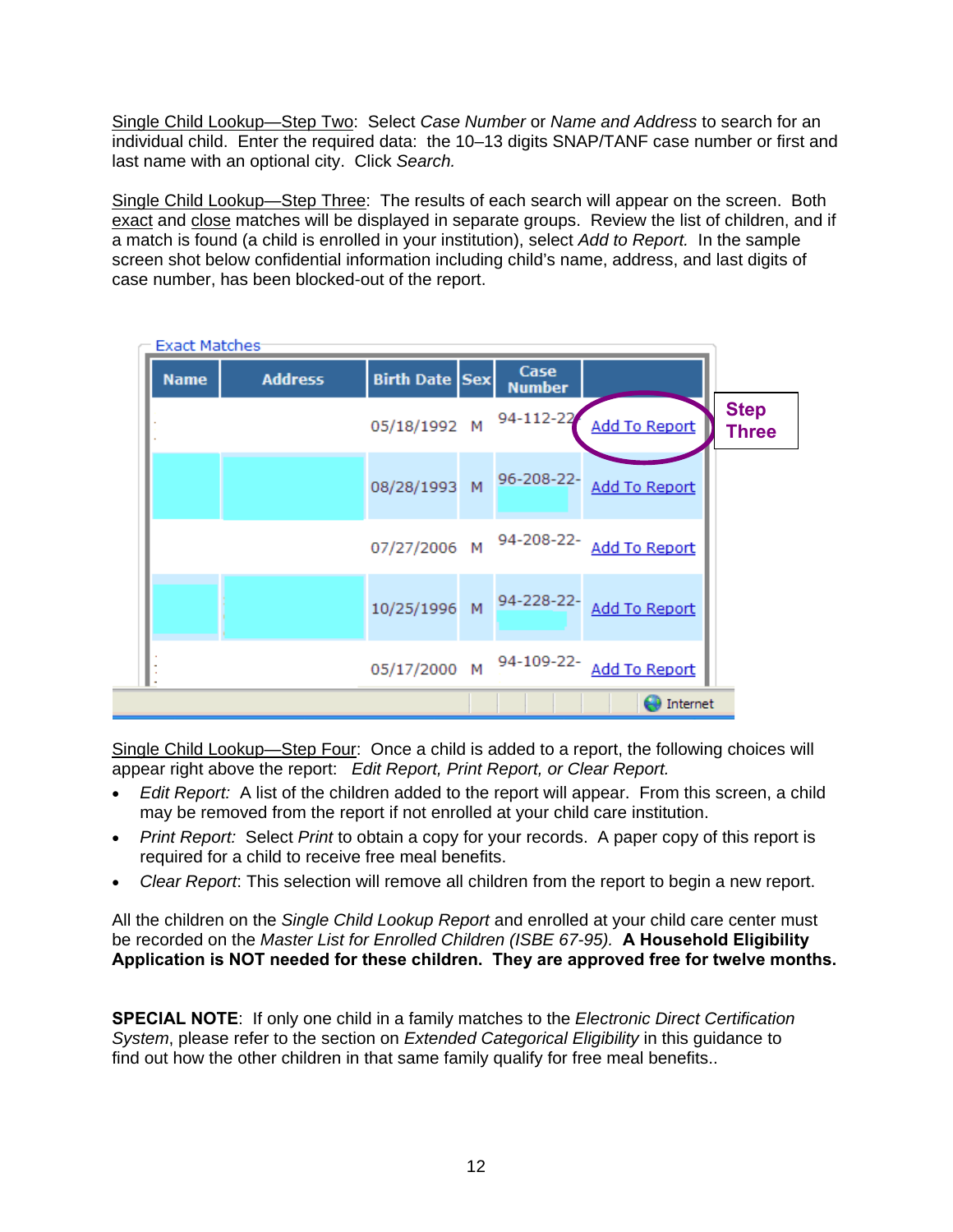Single Child Lookup—Step Two: Select *Case Number* or *Name and Address* to search for an individual child. Enter the required data: the 10–13 digits SNAP/TANF case number or first and last name with an optional city. Click *Search.*

Single Child Lookup—Step Three: The results of each search will appear on the screen. Both exact and close matches will be displayed in separate groups. Review the list of children, and if a match is found (a child is enrolled in your institution), select *Add to Report.* In the sample screen shot below confidential information including child's name, address, and last digits of case number, has been blocked-out of the report.

| <b>Exact Matches</b> |                |                       |                       |                                       |                             |
|----------------------|----------------|-----------------------|-----------------------|---------------------------------------|-----------------------------|
| <b>Name</b>          | <b>Address</b> | <b>Birth Date Sex</b> | Case<br><b>Number</b> |                                       |                             |
|                      |                | 05/18/1992 M          | 94-112-22             | Add To Report                         | <b>Step</b><br><b>Three</b> |
|                      |                | 08/28/1993 M          |                       | 96-208-22- Add To Report              |                             |
|                      |                |                       |                       | 07/27/2006 M 94-208-22- Add To Report |                             |
|                      |                |                       |                       | 10/25/1996 M 94-228-22- Add To Report |                             |
|                      |                |                       |                       | 05/17/2000 M 94-109-22- Add To Report |                             |
|                      |                |                       |                       | Internet                              |                             |

Single Child Lookup—Step Four: Once a child is added to a report, the following choices will appear right above the report: *Edit Report, Print Report, or Clear Report.* 

- *Edit Report:* A list of the children added to the report will appear. From this screen, a child may be removed from the report if not enrolled at your child care institution.
- *Print Report:* Select *Print* to obtain a copy for your records. A paper copy of this report is required for a child to receive free meal benefits.
- *Clear Report*: This selection will remove all children from the report to begin a new report.

All the children on the *Single Child Lookup Report* and enrolled at your child care center must be recorded on the *Master List for Enrolled Children (ISBE 67-95).* **A Household Eligibility Application is NOT needed for these children. They are approved free for twelve months.**

**SPECIAL NOTE**: If only one child in a family matches to the *Electronic Direct Certification System*, please refer to the section on *Extended Categorical Eligibility* in this guidance to find out how the other children in that same family qualify for free meal benefits..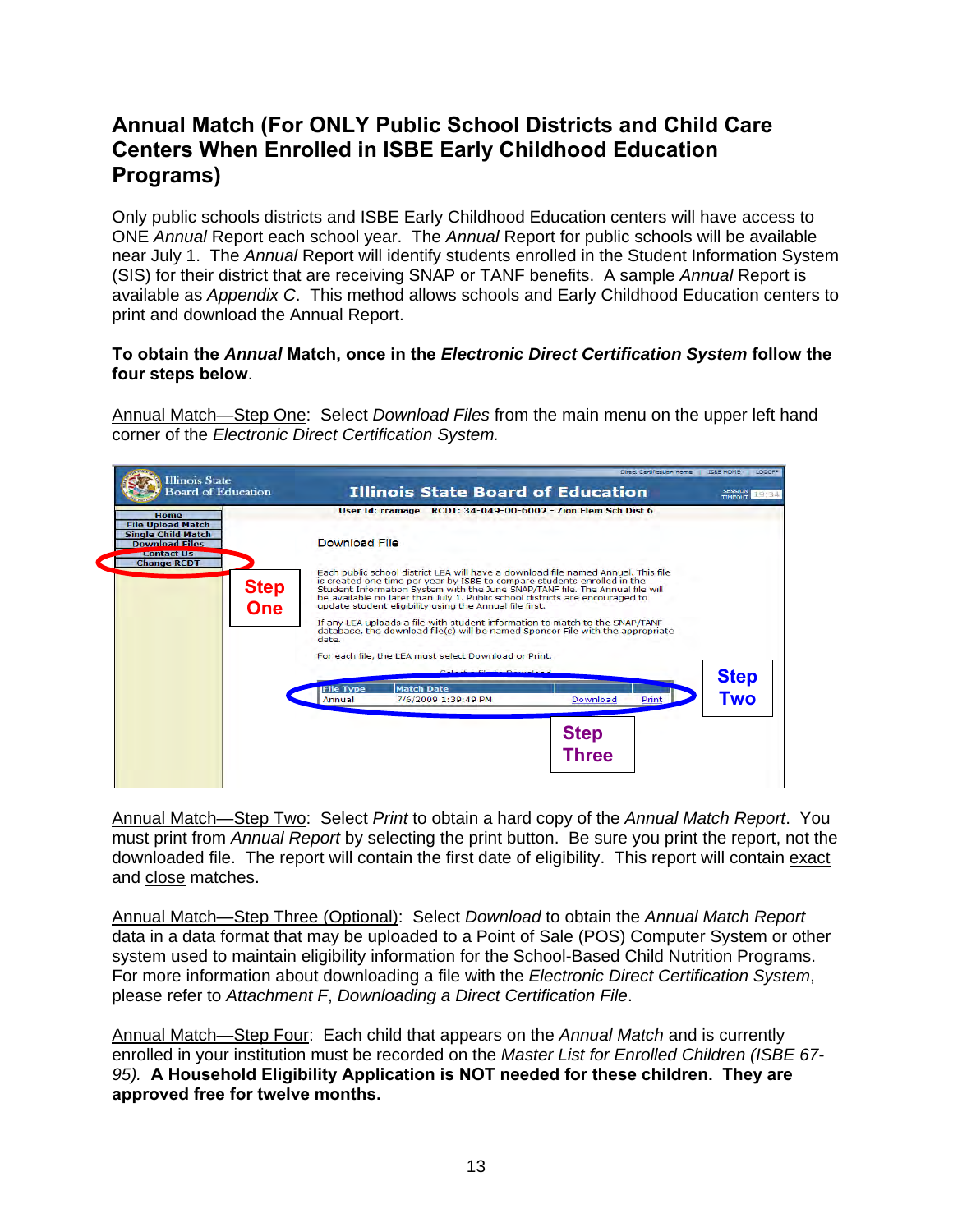# **Annual Match (For ONLY Public School Districts and Child Care Centers When Enrolled in ISBE Early Childhood Education Programs)**

Only public schools districts and ISBE Early Childhood Education centers will have access to ONE *Annual* Report each school year. The *Annual* Report for public schools will be available near July 1. The *Annual* Report will identify students enrolled in the Student Information System (SIS) for their district that are receiving SNAP or TANF benefits. A sample *Annual* Report is available as *Appendix C*. This method allows schools and Early Childhood Education centers to print and download the Annual Report.

#### **To obtain the** *Annual* **Match, once in the** *Electronic Direct Certification System* **follow the four steps below**.

Annual Match—Step One: Select *Download Files* from the main menu on the upper left hand corner of the *Electronic Direct Certification System.* 



Annual Match—Step Two: Select *Print* to obtain a hard copy of the *Annual Match Report*. You must print from *Annual Report* by selecting the print button. Be sure you print the report, not the downloaded file. The report will contain the first date of eligibility. This report will contain exact and close matches.

Annual Match—Step Three (Optional): Select *Download* to obtain the *Annual Match Report*  data in a data format that may be uploaded to a Point of Sale (POS) Computer System or other system used to maintain eligibility information for the School-Based Child Nutrition Programs. For more information about downloading a file with the *Electronic Direct Certification System*, please refer to *Attachment F*, *Downloading a Direct Certification File*.

Annual Match—Step Four: Each child that appears on the *Annual Match* and is currently enrolled in your institution must be recorded on the *Master List for Enrolled Children (ISBE 67- 95).* **A Household Eligibility Application is NOT needed for these children. They are approved free for twelve months.**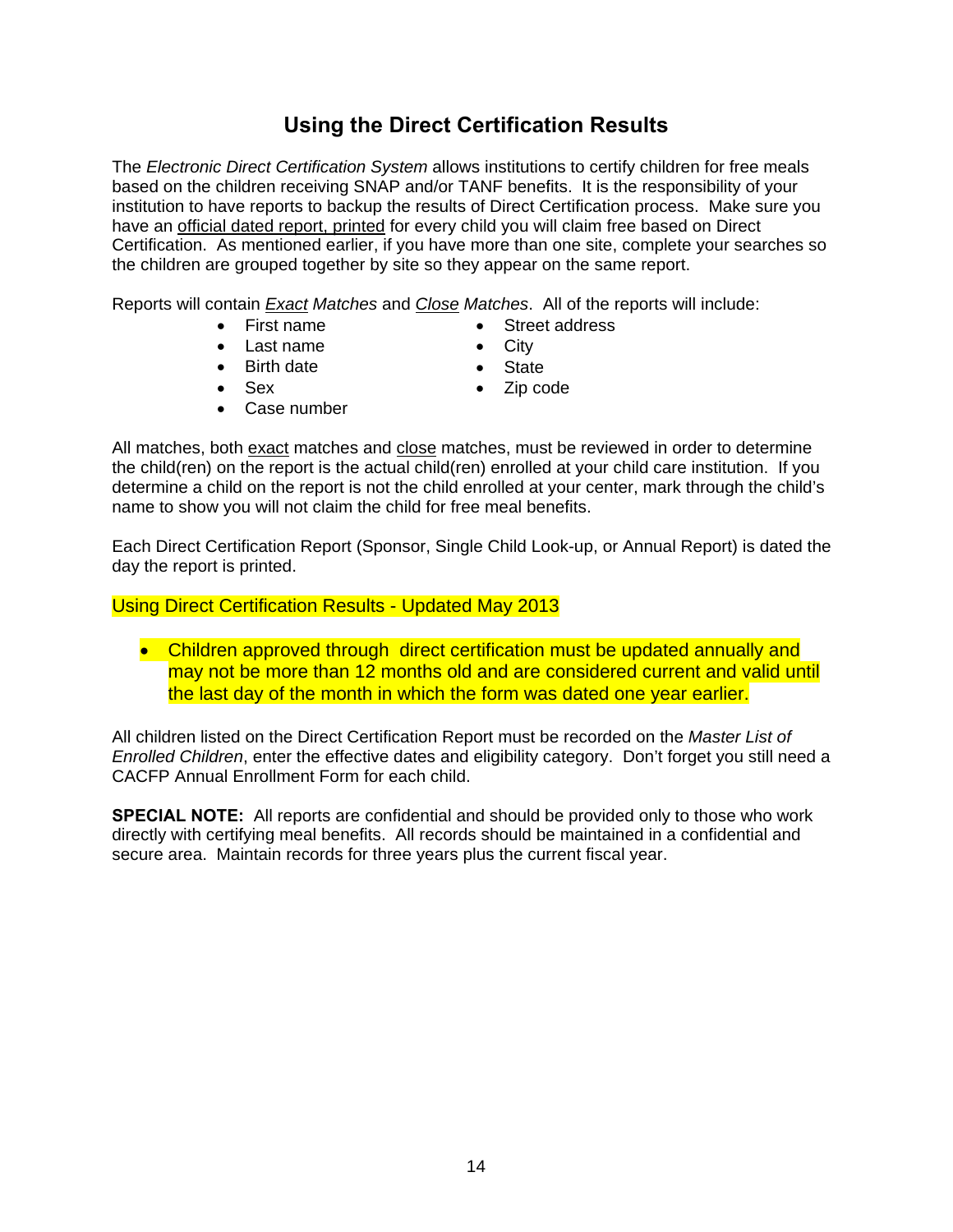# **Using the Direct Certification Results**

The *Electronic Direct Certification System* allows institutions to certify children for free meals based on the children receiving SNAP and/or TANF benefits. It is the responsibility of your institution to have reports to backup the results of Direct Certification process. Make sure you have an official dated report, printed for every child you will claim free based on Direct Certification. As mentioned earlier, if you have more than one site, complete your searches so the children are grouped together by site so they appear on the same report.

Reports will contain *Exact Matches* and *Close Matches*. All of the reports will include:

• First name

- Street address • City
- Last name
- Birth date • Sex
- State
- Zip code
- Case number
- 

All matches, both exact matches and close matches, must be reviewed in order to determine the child(ren) on the report is the actual child(ren) enrolled at your child care institution. If you determine a child on the report is not the child enrolled at your center, mark through the child's name to show you will not claim the child for free meal benefits.

Each Direct Certification Report (Sponsor, Single Child Look-up, or Annual Report) is dated the day the report is printed.

Using Direct Certification Results - Updated May 2013

• Children approved through direct certification must be updated annually and may not be more than 12 months old and are considered current and valid until the last day of the month in which the form was dated one year earlier.

All children listed on the Direct Certification Report must be recorded on the *Master List of Enrolled Children*, enter the effective dates and eligibility category. Don't forget you still need a CACFP Annual Enrollment Form for each child.

**SPECIAL NOTE:** All reports are confidential and should be provided only to those who work directly with certifying meal benefits. All records should be maintained in a confidential and secure area. Maintain records for three years plus the current fiscal year.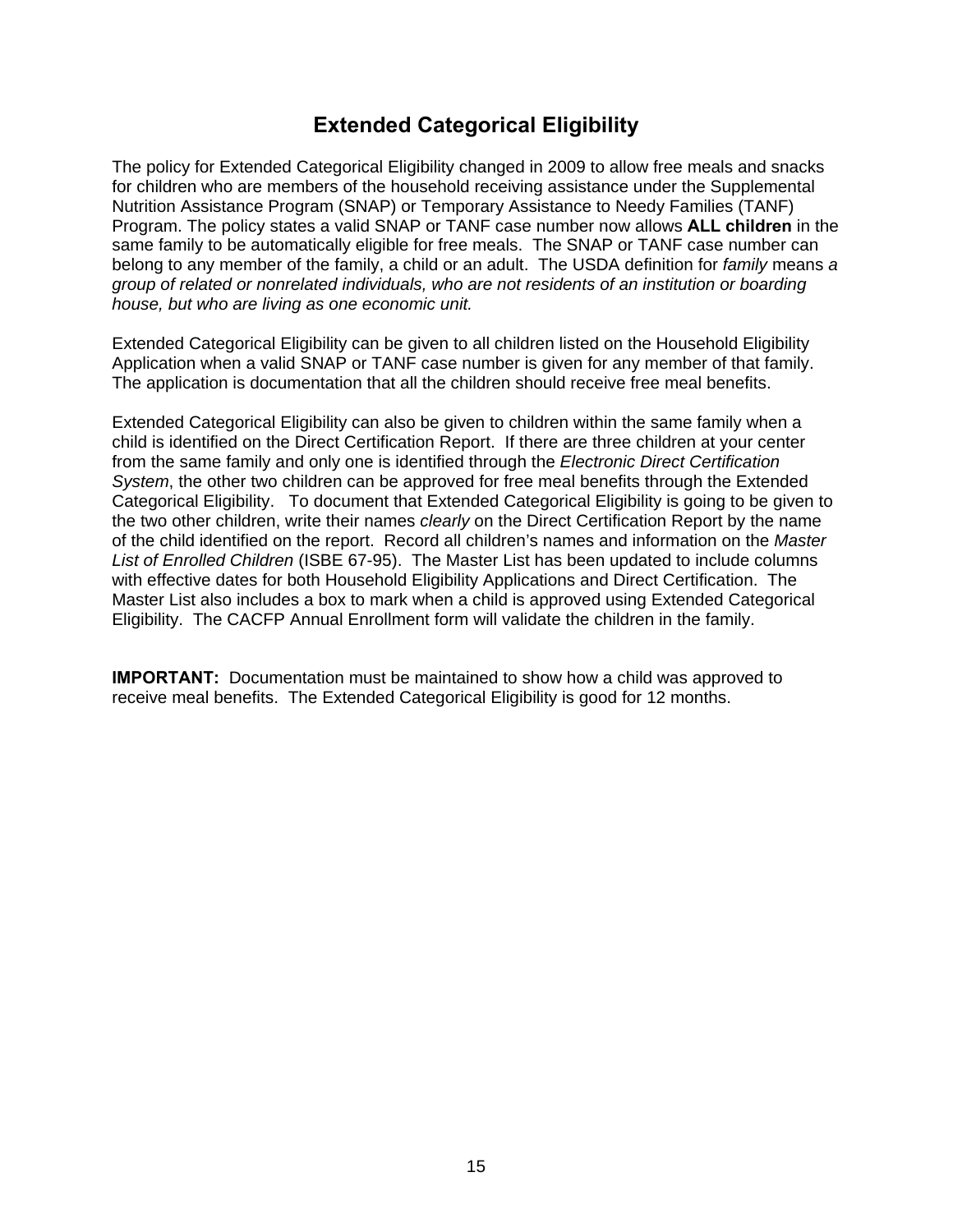### **Extended Categorical Eligibility**

The policy for Extended Categorical Eligibility changed in 2009 to allow free meals and snacks for children who are members of the household receiving assistance under the Supplemental Nutrition Assistance Program (SNAP) or Temporary Assistance to Needy Families (TANF) Program. The policy states a valid SNAP or TANF case number now allows **ALL children** in the same family to be automatically eligible for free meals. The SNAP or TANF case number can belong to any member of the family, a child or an adult. The USDA definition for *family* means *a group of related or nonrelated individuals, who are not residents of an institution or boarding house, but who are living as one economic unit.*

Extended Categorical Eligibility can be given to all children listed on the Household Eligibility Application when a valid SNAP or TANF case number is given for any member of that family. The application is documentation that all the children should receive free meal benefits.

Extended Categorical Eligibility can also be given to children within the same family when a child is identified on the Direct Certification Report. If there are three children at your center from the same family and only one is identified through the *Electronic Direct Certification System*, the other two children can be approved for free meal benefits through the Extended Categorical Eligibility. To document that Extended Categorical Eligibility is going to be given to the two other children, write their names *clearly* on the Direct Certification Report by the name of the child identified on the report. Record all children's names and information on the *Master List of Enrolled Children* (ISBE 67-95). The Master List has been updated to include columns with effective dates for both Household Eligibility Applications and Direct Certification. The Master List also includes a box to mark when a child is approved using Extended Categorical Eligibility. The CACFP Annual Enrollment form will validate the children in the family.

**IMPORTANT:** Documentation must be maintained to show how a child was approved to receive meal benefits. The Extended Categorical Eligibility is good for 12 months.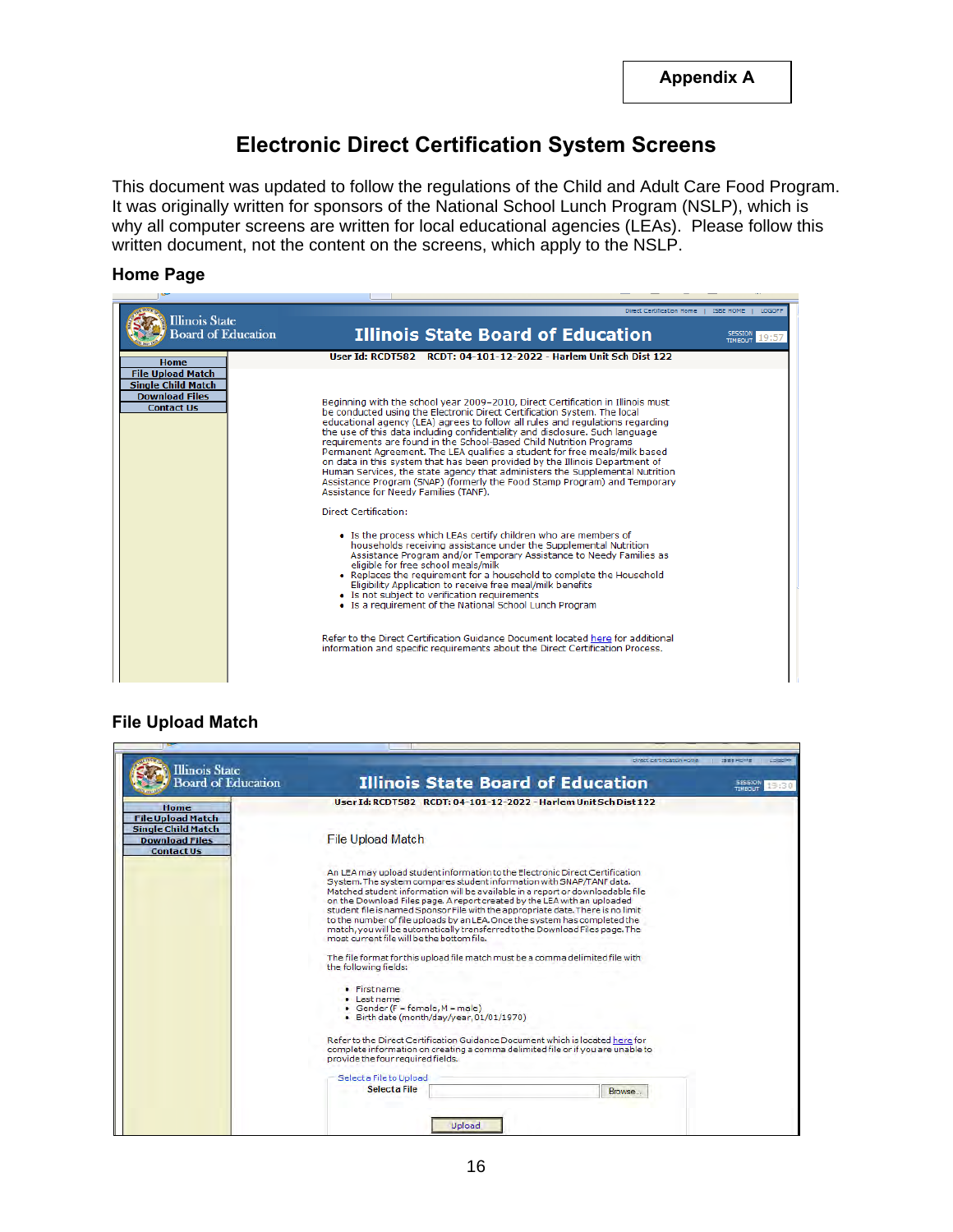# **Electronic Direct Certification System Screens**

This document was updated to follow the regulations of the Child and Adult Care Food Program. It was originally written for sponsors of the National School Lunch Program (NSLP), which is why all computer screens are written for local educational agencies (LEAs). Please follow this written document, not the content on the screens, which apply to the NSLP.

#### **Home Page**

| <b>Illinois State</b>                                                                               | Direct Certification Home                                                                                                                                                                                                                                                                                                                                                                                                                                                                                                                                                                                                                                                                                                                                                                                                                                                                                                                                                                                                                                                                                                                                                                                                                                                                                                                                                                                                                                                  | <b>ISBE HOME</b><br>LOGOL |
|-----------------------------------------------------------------------------------------------------|----------------------------------------------------------------------------------------------------------------------------------------------------------------------------------------------------------------------------------------------------------------------------------------------------------------------------------------------------------------------------------------------------------------------------------------------------------------------------------------------------------------------------------------------------------------------------------------------------------------------------------------------------------------------------------------------------------------------------------------------------------------------------------------------------------------------------------------------------------------------------------------------------------------------------------------------------------------------------------------------------------------------------------------------------------------------------------------------------------------------------------------------------------------------------------------------------------------------------------------------------------------------------------------------------------------------------------------------------------------------------------------------------------------------------------------------------------------------------|---------------------------|
| <b>Board of Education</b>                                                                           | <b>Illinois State Board of Education</b>                                                                                                                                                                                                                                                                                                                                                                                                                                                                                                                                                                                                                                                                                                                                                                                                                                                                                                                                                                                                                                                                                                                                                                                                                                                                                                                                                                                                                                   | <b>TIMEOUT</b>            |
| Home                                                                                                | User Id: RCDT582 RCDT: 04-101-12-2022 - Harlem Unit Sch Dist 122                                                                                                                                                                                                                                                                                                                                                                                                                                                                                                                                                                                                                                                                                                                                                                                                                                                                                                                                                                                                                                                                                                                                                                                                                                                                                                                                                                                                           |                           |
| <b>File Upload Match</b><br><b>Single Child Match</b><br><b>Download Files</b><br><b>Contact Us</b> | Beginning with the school year 2009–2010, Direct Certification in Illinois must<br>be conducted using the Electronic Direct Certification System. The local<br>educational agency (LEA) agrees to follow all rules and regulations regarding<br>the use of this data including confidentiality and disclosure. Such language<br>requirements are found in the School-Based Child Nutrition Programs<br>Permanent Agreement. The LEA qualifies a student for free meals/milk based<br>on data in this system that has been provided by the Illinois Department of<br>Human Services, the state agency that administers the Supplemental Nutrition<br>Assistance Program (SNAP) (formerly the Food Stamp Program) and Temporary<br>Assistance for Needy Families (TANF).<br>Direct Certification:<br>• Is the process which LEAs certify children who are members of<br>households receiving assistance under the Supplemental Nutrition<br>Assistance Program and/or Temporary Assistance to Needy Families as<br>eligible for free school meals/milk<br>. Replaces the requirement for a household to complete the Household<br>Eligibility Application to receive free meal/milk benefits<br>• Is not subject to verification requirements<br>• Is a requirement of the National School Lunch Program<br>Refer to the Direct Certification Guidance Document located here for additional<br>information and specific requirements about the Direct Certification Process. |                           |
|                                                                                                     |                                                                                                                                                                                                                                                                                                                                                                                                                                                                                                                                                                                                                                                                                                                                                                                                                                                                                                                                                                                                                                                                                                                                                                                                                                                                                                                                                                                                                                                                            |                           |

#### **File Upload Match**

| Illinois State                                                                                      |                                                                                                                                                                                                                                                                                                                                                                                                                                                                                                                                                                                                                   | ISBEHOME |         |
|-----------------------------------------------------------------------------------------------------|-------------------------------------------------------------------------------------------------------------------------------------------------------------------------------------------------------------------------------------------------------------------------------------------------------------------------------------------------------------------------------------------------------------------------------------------------------------------------------------------------------------------------------------------------------------------------------------------------------------------|----------|---------|
| <b>Board of Education</b>                                                                           | <b>Illinois State Board of Education</b>                                                                                                                                                                                                                                                                                                                                                                                                                                                                                                                                                                          |          | TIMEDUT |
| Home                                                                                                | User Id: RCDT582 RCDT: 04-101-12-2022 - Harlem Unit Sch Dist 122                                                                                                                                                                                                                                                                                                                                                                                                                                                                                                                                                  |          |         |
| <b>File Upload Match</b><br><b>Single Child Match</b><br><b>Download Files</b><br><b>Contact Us</b> | <b>File Upload Match</b>                                                                                                                                                                                                                                                                                                                                                                                                                                                                                                                                                                                          |          |         |
|                                                                                                     | An LEA may upload student information to the Electronic Direct Certification<br>System. The system compares student information with SNAP/TANF data.<br>Matched student information will be available in a report or downloadable file<br>on the Download Files page. A report created by the LEA with an uploaded<br>student file is named Sponsor File with the appropriate date. There is no limit<br>to the number of file uploads by an LEA. Once the system has completed the<br>match, you will be automatically transferred to the Download Files page. The<br>most current file will be the bottom file. |          |         |
|                                                                                                     | The file format for this upload file match must be a comma delimited file with<br>the following fields:                                                                                                                                                                                                                                                                                                                                                                                                                                                                                                           |          |         |
|                                                                                                     | · First name<br>• Last name<br>• Gender ( $F = female, M = male$ )<br>· Birth date (month/day/year, 01/01/1970)                                                                                                                                                                                                                                                                                                                                                                                                                                                                                                   |          |         |
|                                                                                                     | Refer to the Direct Certification Guidance Document which is located here for<br>complete information on creating a comma delimited file or if you are unable to<br>provide the four required fields.                                                                                                                                                                                                                                                                                                                                                                                                             |          |         |
|                                                                                                     | Select a File to Upload                                                                                                                                                                                                                                                                                                                                                                                                                                                                                                                                                                                           |          |         |
|                                                                                                     | Select a File                                                                                                                                                                                                                                                                                                                                                                                                                                                                                                                                                                                                     |          |         |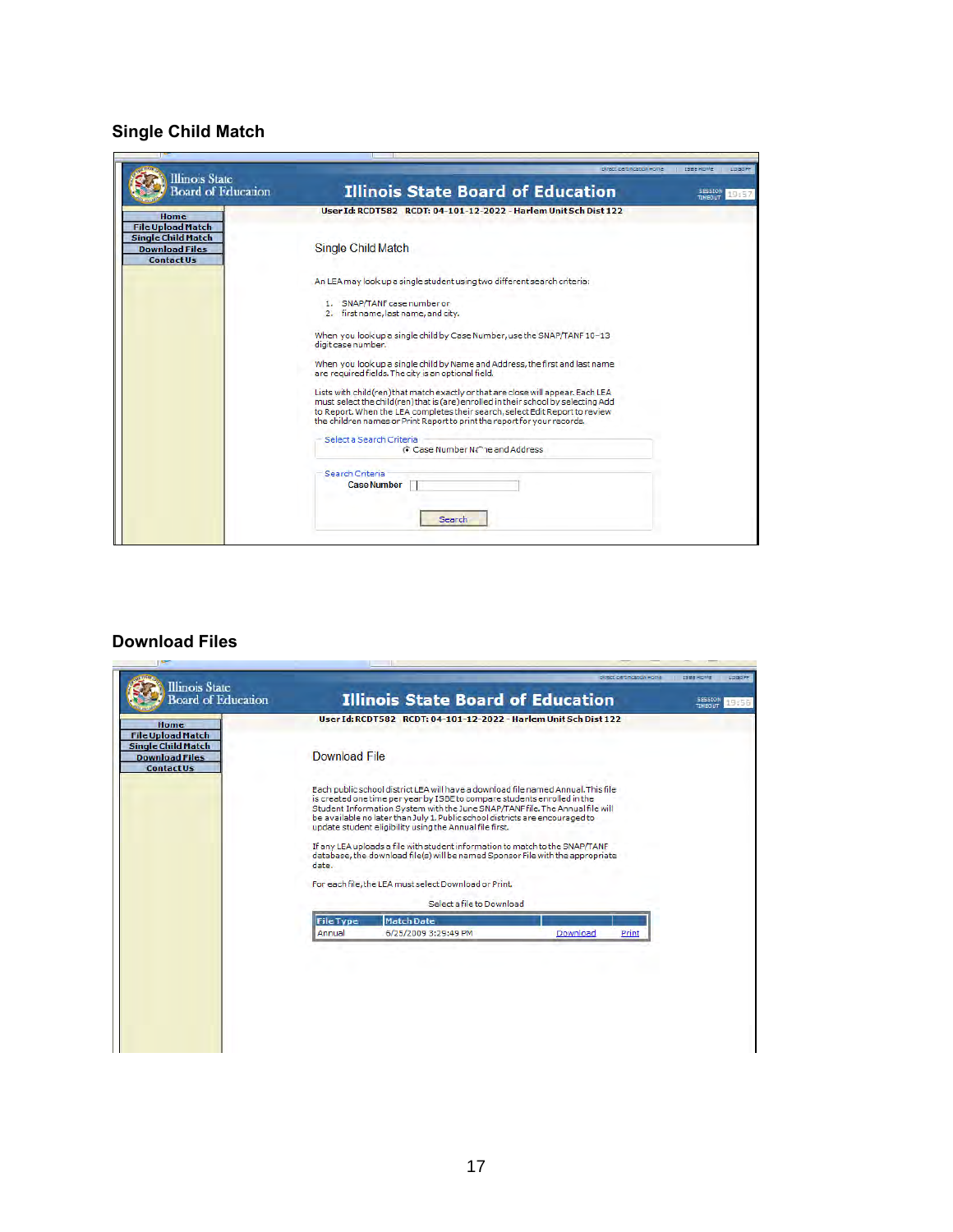# **Single Child Match**

| <b>Illinois</b> State<br><b>Board of Education</b>                                                  | <b>Illinois State Board of Education</b>                                                                                                                                                                                                                                                                                           | ISBE HOME<br>TIMEDUIT |
|-----------------------------------------------------------------------------------------------------|------------------------------------------------------------------------------------------------------------------------------------------------------------------------------------------------------------------------------------------------------------------------------------------------------------------------------------|-----------------------|
| Home                                                                                                | User Id: RCDT582 RCDT: 04-101-12-2022 - Harlem Unit Sch Dist 122                                                                                                                                                                                                                                                                   |                       |
| <b>File Upload Match</b><br><b>Single Child Match</b><br><b>Download Files</b><br><b>Contact Us</b> | Single Child Match                                                                                                                                                                                                                                                                                                                 |                       |
|                                                                                                     | An LEA may look up a single student using two different search criteria:                                                                                                                                                                                                                                                           |                       |
|                                                                                                     | 1. SNAP/TANF case number or                                                                                                                                                                                                                                                                                                        |                       |
|                                                                                                     | 2. first name, last name, and city.                                                                                                                                                                                                                                                                                                |                       |
|                                                                                                     | When you look up a single child by Case Number, use the SNAP/TANF 10-13<br>digit case number.                                                                                                                                                                                                                                      |                       |
|                                                                                                     | When you look up a single child by Name and Address, the first and last name<br>are required fields. The city is an optional field.                                                                                                                                                                                                |                       |
|                                                                                                     | Lists with child(ren) that match exactly or that are close will appear. Each LEA<br>must select the child(ren) that is (are) enrolled in their school by selecting Add<br>to Report. When the LEA completes their search, select Edit Report to review<br>the children names or Print Report to print the report for your records. |                       |
|                                                                                                     | Select a Search Criteria                                                                                                                                                                                                                                                                                                           |                       |
|                                                                                                     | G Case Number Na <sup>2</sup> ne and Address                                                                                                                                                                                                                                                                                       |                       |
|                                                                                                     |                                                                                                                                                                                                                                                                                                                                    |                       |
|                                                                                                     | Search Criteria<br><b>Case Number</b>                                                                                                                                                                                                                                                                                              |                       |
|                                                                                                     |                                                                                                                                                                                                                                                                                                                                    |                       |
|                                                                                                     |                                                                                                                                                                                                                                                                                                                                    |                       |
|                                                                                                     | Search                                                                                                                                                                                                                                                                                                                             |                       |
|                                                                                                     |                                                                                                                                                                                                                                                                                                                                    |                       |

#### **Download Files**

| <b>Illinois</b> State<br><b>Board of Education</b>                                                          |                      | <b>Illinois State Board of Education</b>                                                                                                                                                                                                                                                                                                                                                  |          | <b>Flower 2 centre office beauty</b> | ISEE HOME<br>LOGOFF<br><b>SESSION</b><br>9:56 |
|-------------------------------------------------------------------------------------------------------------|----------------------|-------------------------------------------------------------------------------------------------------------------------------------------------------------------------------------------------------------------------------------------------------------------------------------------------------------------------------------------------------------------------------------------|----------|--------------------------------------|-----------------------------------------------|
|                                                                                                             |                      | User Id: RCDT582 RCDT: 04-101-12-2022 - Harlem Unit Sch Dist 122                                                                                                                                                                                                                                                                                                                          |          |                                      | TIMEDUT                                       |
| Home<br><b>File Upload Match</b><br><b>Single Child Match</b><br><b>Download Files</b><br><b>Contact Us</b> | <b>Download File</b> |                                                                                                                                                                                                                                                                                                                                                                                           |          |                                      |                                               |
|                                                                                                             |                      | Each public school district LEA will have a download file named Annual. This file<br>is created one time per year by ISBE to compare students enrolled in the<br>Student Information System with the June SNAP/TANF file. The Annual file will<br>be available no later than July 1. Public school districts are encouraged to<br>update student eligibility using the Annual file first. |          |                                      |                                               |
|                                                                                                             | date.                | If any LEA uploads a file with student information to match to the SNAP/TANF<br>database, the download file(s) will be named Sponsor File with the appropriate                                                                                                                                                                                                                            |          |                                      |                                               |
|                                                                                                             |                      | For each file, the LEA must select Download or Print.                                                                                                                                                                                                                                                                                                                                     |          |                                      |                                               |
|                                                                                                             |                      | Select a file to Download                                                                                                                                                                                                                                                                                                                                                                 |          |                                      |                                               |
|                                                                                                             | <b>File Type</b>     | <b>Match Date</b>                                                                                                                                                                                                                                                                                                                                                                         |          |                                      |                                               |
|                                                                                                             | Annual               | 6/25/2009 3:29:49 PM                                                                                                                                                                                                                                                                                                                                                                      | Download | Print                                |                                               |
|                                                                                                             |                      |                                                                                                                                                                                                                                                                                                                                                                                           |          |                                      |                                               |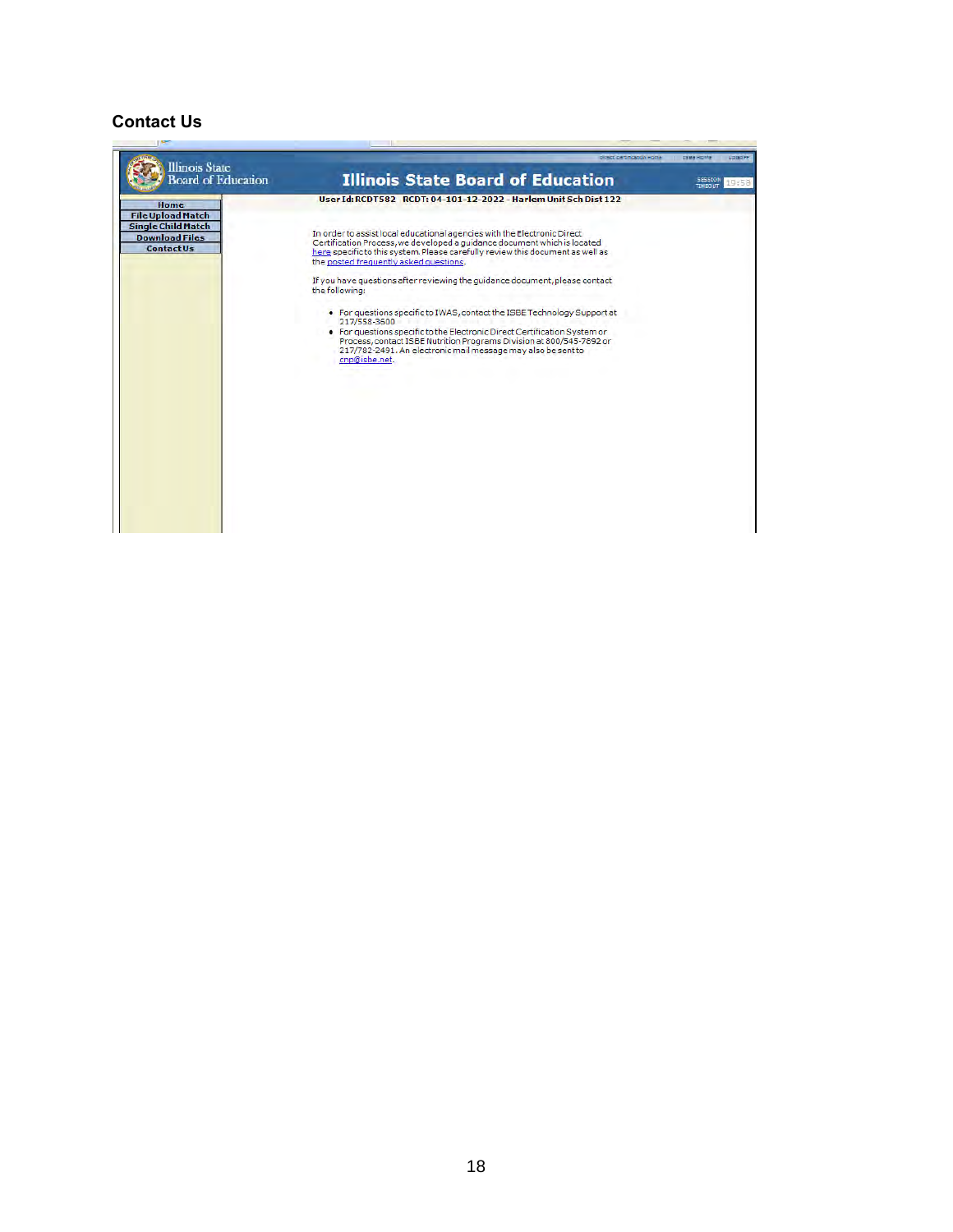#### **Contact Us**

| <b>Illinois</b> State<br><b>Board of Education</b>                                                          | Direct Zio Uncaditor Home<br><b>Illinois State Board of Education</b>                                                                                                                                                                                                                                                                                                                                                                                                                                                                                                                                                                                                                                                                                                                   | ISBEHOME / LOGOFF<br><b>SESSION</b><br>19:58<br><b>TIMEDUT</b> |
|-------------------------------------------------------------------------------------------------------------|-----------------------------------------------------------------------------------------------------------------------------------------------------------------------------------------------------------------------------------------------------------------------------------------------------------------------------------------------------------------------------------------------------------------------------------------------------------------------------------------------------------------------------------------------------------------------------------------------------------------------------------------------------------------------------------------------------------------------------------------------------------------------------------------|----------------------------------------------------------------|
| Home<br><b>File Upload Match</b><br><b>Single Child Match</b><br><b>Download Files</b><br><b>Contact Us</b> | User Id: RCDT582 RCDT: 04-101-12-2022 - Harlem Unit Sch Dist 122<br>In order to assist local educational agencies with the Electronic Direct<br>Certification Process, we developed a guidance document which is located<br>here specific to this system. Please carefully review this document as well as<br>the posted frequently asked questions.<br>If you have questions after reviewing the quidance document, please contact<br>the following:<br>. For questions specific to IWAS, contact the ISBE Technology Support at<br>217/558-3600<br>. For questions specific to the Electronic Direct Certification System or<br>Process, contact ISBE Nutrition Programs Division at 800/545-7892 or<br>217/782-2491. An electronic mail message may also be sent to<br>cnp@isbe.net. |                                                                |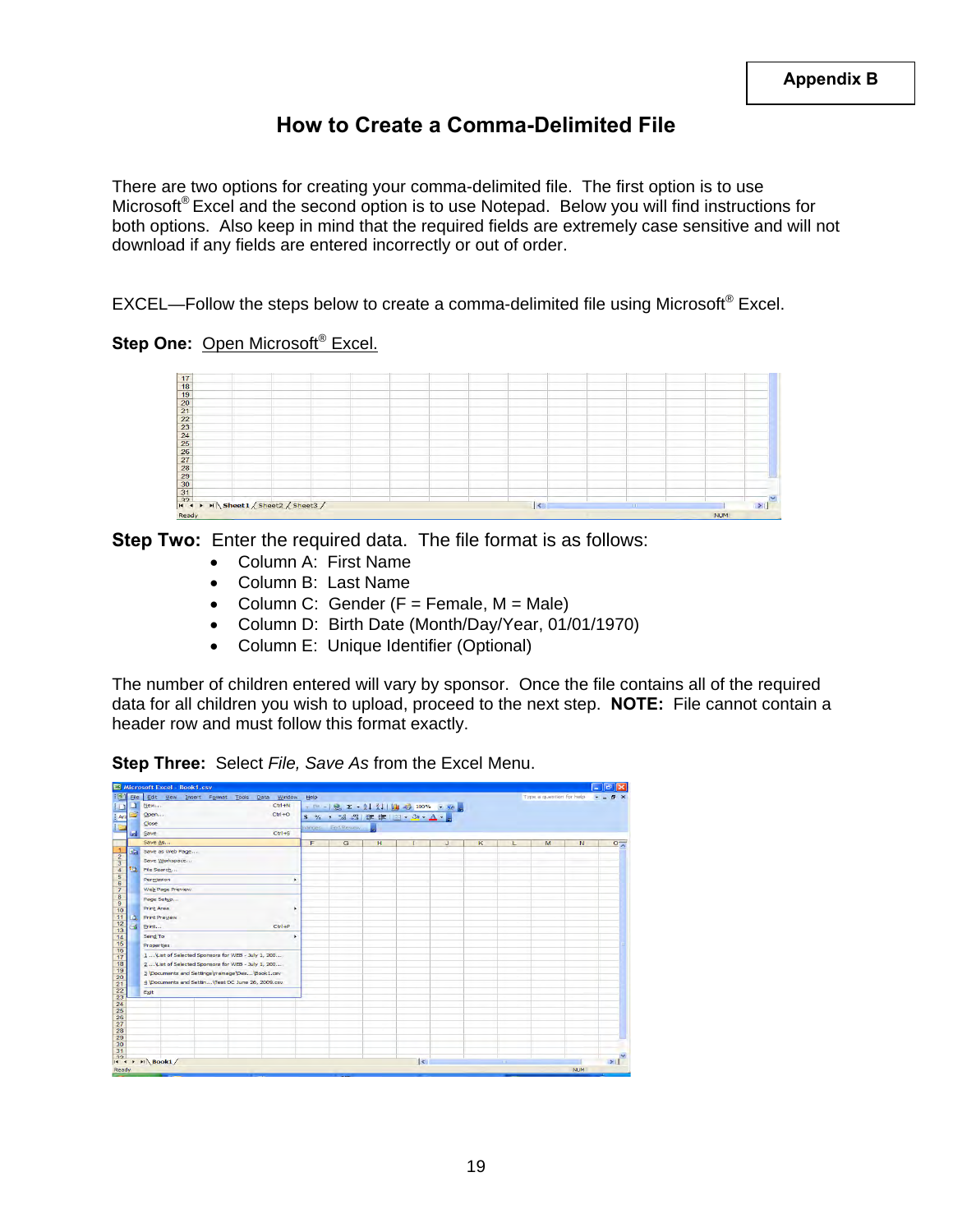### **How to Create a Comma-Delimited File**

There are two options for creating your comma-delimited file. The first option is to use Microsoft<sup>®</sup> Excel and the second option is to use Notepad. Below you will find instructions for both options. Also keep in mind that the required fields are extremely case sensitive and will not download if any fields are entered incorrectly or out of order.

EXCEL—Follow the steps below to create a comma-delimited file using Microsoft® Excel.

#### **Step One: Open Microsoft<sup>®</sup> Excel.**

|       |  | $\leq$ |  |            |  |
|-------|--|--------|--|------------|--|
| Ready |  |        |  | <b>NUM</b> |  |

**Step Two:** Enter the required data. The file format is as follows:

- Column A: First Name
- Column B: Last Name
- Column C: Gender  $(F = Female, M = Male)$
- Column D: Birth Date (Month/Day/Year, 01/01/1970)
- Column E: Unique Identifier (Optional)

The number of children entered will vary by sponsor. Once the file contains all of the required data for all children you wish to upload, proceed to the next step. **NOTE:** File cannot contain a header row and must follow this format exactly.

**Step Three:** Select *File, Save As* from the Excel Menu.

| File | Edit View Insert Format Tools Data Window          | Help |                  |                                      |        |    |   |     | Type a question for help |   | $F \times$  |
|------|----------------------------------------------------|------|------------------|--------------------------------------|--------|----|---|-----|--------------------------|---|-------------|
|      | $Ctr1 + N$<br>New                                  |      |                  | T N - 2 E + 2   2   2   2   100% P @ |        |    |   |     |                          |   |             |
|      | $Ctr1+O$<br>Open                                   |      |                  | S % , 3 . THE FILE , O . A . E       |        |    |   |     |                          |   |             |
|      | Close                                              |      | hanger End Rewew |                                      |        |    |   |     |                          |   |             |
| a    | $Ctr1+S$<br>Save                                   |      |                  |                                      |        |    |   |     |                          |   |             |
|      | Save As                                            | F    | G                | H                                    | т      | J. | K | ı   | M                        | N | $\circ \pi$ |
| g.   | Save as Web Page                                   |      |                  |                                      |        |    |   |     |                          |   |             |
|      | Save Workspace                                     |      |                  |                                      |        |    |   |     |                          |   |             |
| 10   | File Search                                        |      |                  |                                      |        |    |   |     |                          |   |             |
|      | Permission<br>٠                                    |      |                  |                                      |        |    |   |     |                          |   |             |
|      | Web Page Preview                                   |      |                  |                                      |        |    |   |     |                          |   |             |
|      | Page Setup                                         |      |                  |                                      |        |    |   |     |                          |   |             |
|      | <b>Print Area</b><br>٠                             |      |                  |                                      |        |    |   |     |                          |   |             |
| a    | <b>Print Preview</b>                               |      |                  |                                      |        |    |   |     |                          |   |             |
| s    | $Ctrl + P$<br>Print                                |      |                  |                                      |        |    |   |     |                          |   |             |
|      | Send To<br>٠                                       |      |                  |                                      |        |    |   |     |                          |   |             |
|      | Properties                                         |      |                  |                                      |        |    |   |     |                          |   |             |
|      | 1 Vist of Selected Sponsors for WEB - July 1, 200  |      |                  |                                      |        |    |   |     |                          |   |             |
|      | 2 Vist of Selected Sponsors for WEB - July 1, 200  |      |                  |                                      |        |    |   |     |                          |   |             |
|      | 3 \Documents and Settings\rramage\Des\Book1.csv    |      |                  |                                      |        |    |   |     |                          |   |             |
|      | 4 \Documents and Settin \Test DC June 26, 2009.csv |      |                  |                                      |        |    |   |     |                          |   |             |
|      | Exit                                               |      |                  |                                      |        |    |   |     |                          |   |             |
|      |                                                    |      |                  |                                      |        |    |   |     |                          |   |             |
|      |                                                    |      |                  |                                      |        |    |   |     |                          |   |             |
|      |                                                    |      |                  |                                      |        |    |   |     |                          |   |             |
|      |                                                    |      |                  |                                      |        |    |   |     |                          |   |             |
|      |                                                    |      |                  |                                      |        |    |   |     |                          |   |             |
|      |                                                    |      |                  |                                      |        |    |   |     |                          |   |             |
|      |                                                    |      |                  |                                      |        |    |   |     |                          |   |             |
|      | $H \leftarrow H \setminus \text{Book1}$            |      |                  |                                      | $\leq$ |    |   | on. |                          |   | >1          |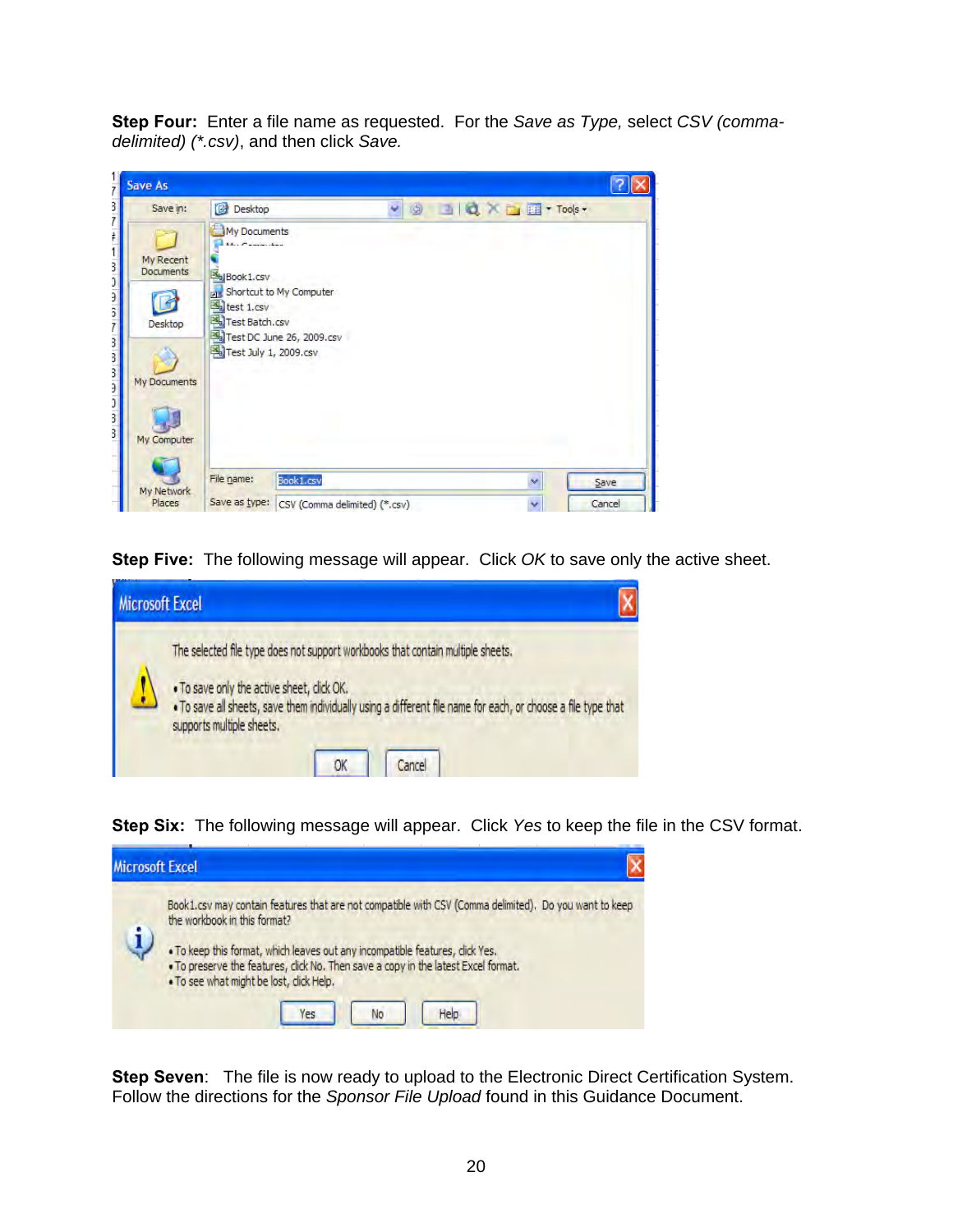**Step Four:** Enter a file name as requested. For the *Save as Type,* select *CSV (commadelimited) (\*.csv)*, and then click *Save.*

| Save in:                          | Desktop                                                                                   |                                                                  | v | O 3 Q X D E Tools- |                     |      |
|-----------------------------------|-------------------------------------------------------------------------------------------|------------------------------------------------------------------|---|--------------------|---------------------|------|
| My Recent<br>Documents<br>Desktop | My Documents<br><b>Book1.csv</b><br>test 1.csv<br>Test Batch.csv<br>Test July 1, 2009.csv | <b>Fig.</b> Shortcut to My Computer<br>Test DC June 26, 2009.csv |   |                    |                     |      |
| My Computer                       |                                                                                           |                                                                  |   |                    |                     |      |
| My Documents<br>My Network        | File name:                                                                                | Book1.csv                                                        |   |                    | $\ddot{\mathbf{v}}$ | Save |

**Step Five:** The following message will appear. Click *OK* to save only the active sheet.



**Step Six:** The following message will appear. Click *Yes* to keep the file in the CSV format.



**Step Seven**: The file is now ready to upload to the Electronic Direct Certification System. Follow the directions for the *Sponsor File Upload* found in this Guidance Document.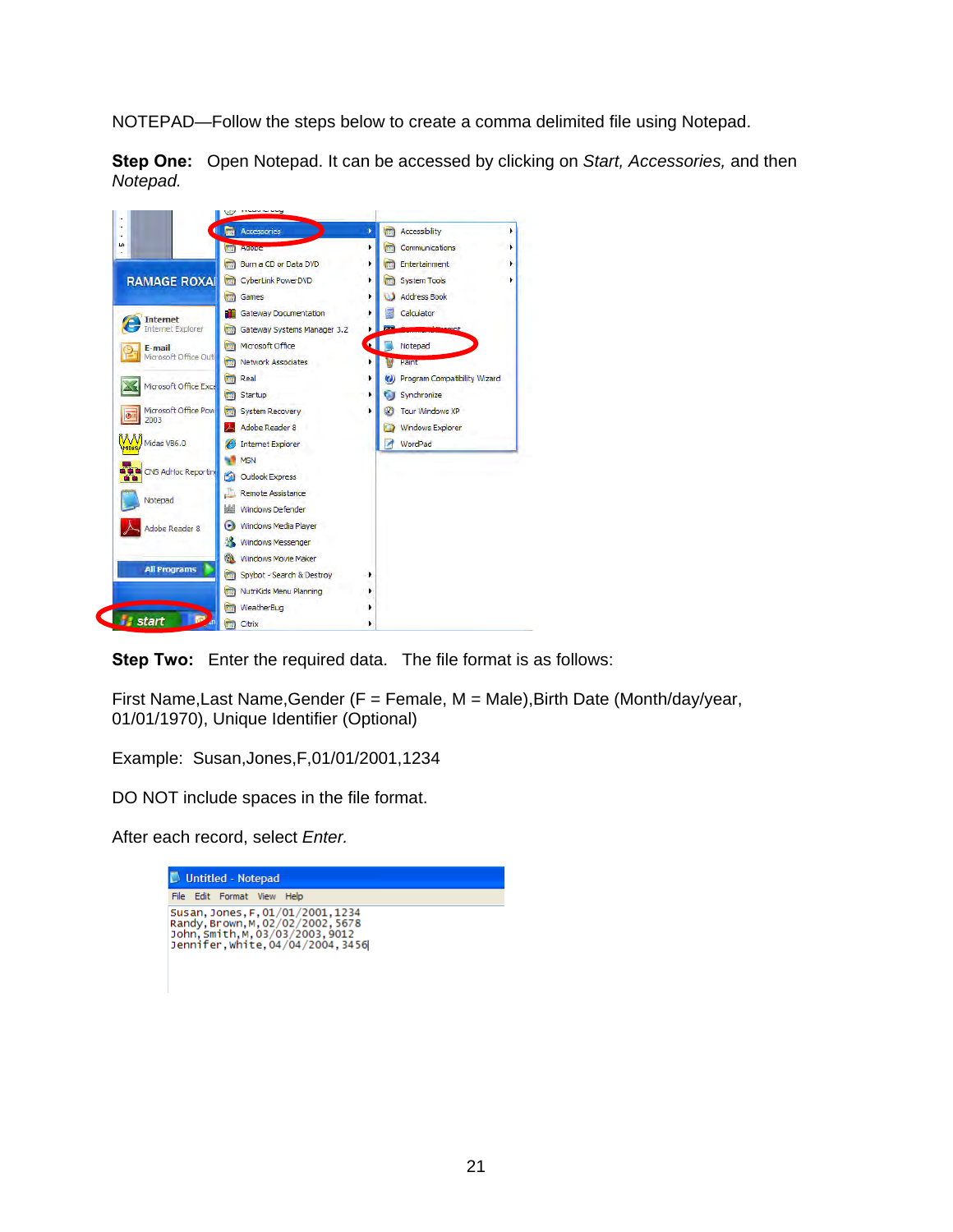NOTEPAD—Follow the steps below to create a comma delimited file using Notepad.

**Step One:** Open Notepad. It can be accessed by clicking on *Start, Accessories,* and then *Notepad.* 



**Step Two:** Enter the required data. The file format is as follows:

First Name,Last Name,Gender (F = Female, M = Male),Birth Date (Month/day/year, 01/01/1970), Unique Identifier (Optional)

Example: Susan,Jones,F,01/01/2001,1234

DO NOT include spaces in the file format.

After each record, select *Enter.* 

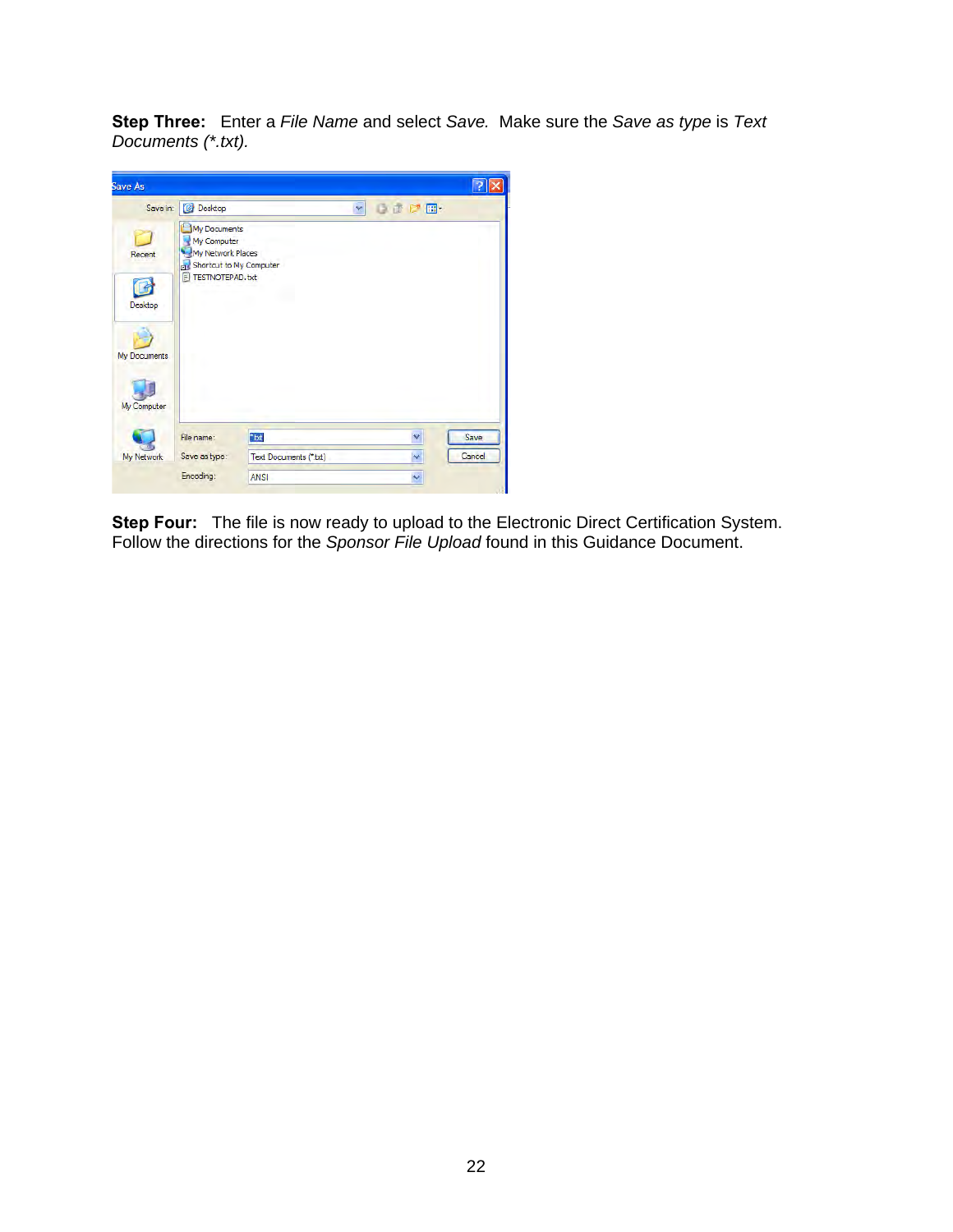**Step Three:** Enter a *File Name* and select *Save.* Make sure the *Save as type* is *Text Documents (\*.txt).* 



**Step Four:** The file is now ready to upload to the Electronic Direct Certification System. Follow the directions for the *Sponsor File Upload* found in this Guidance Document.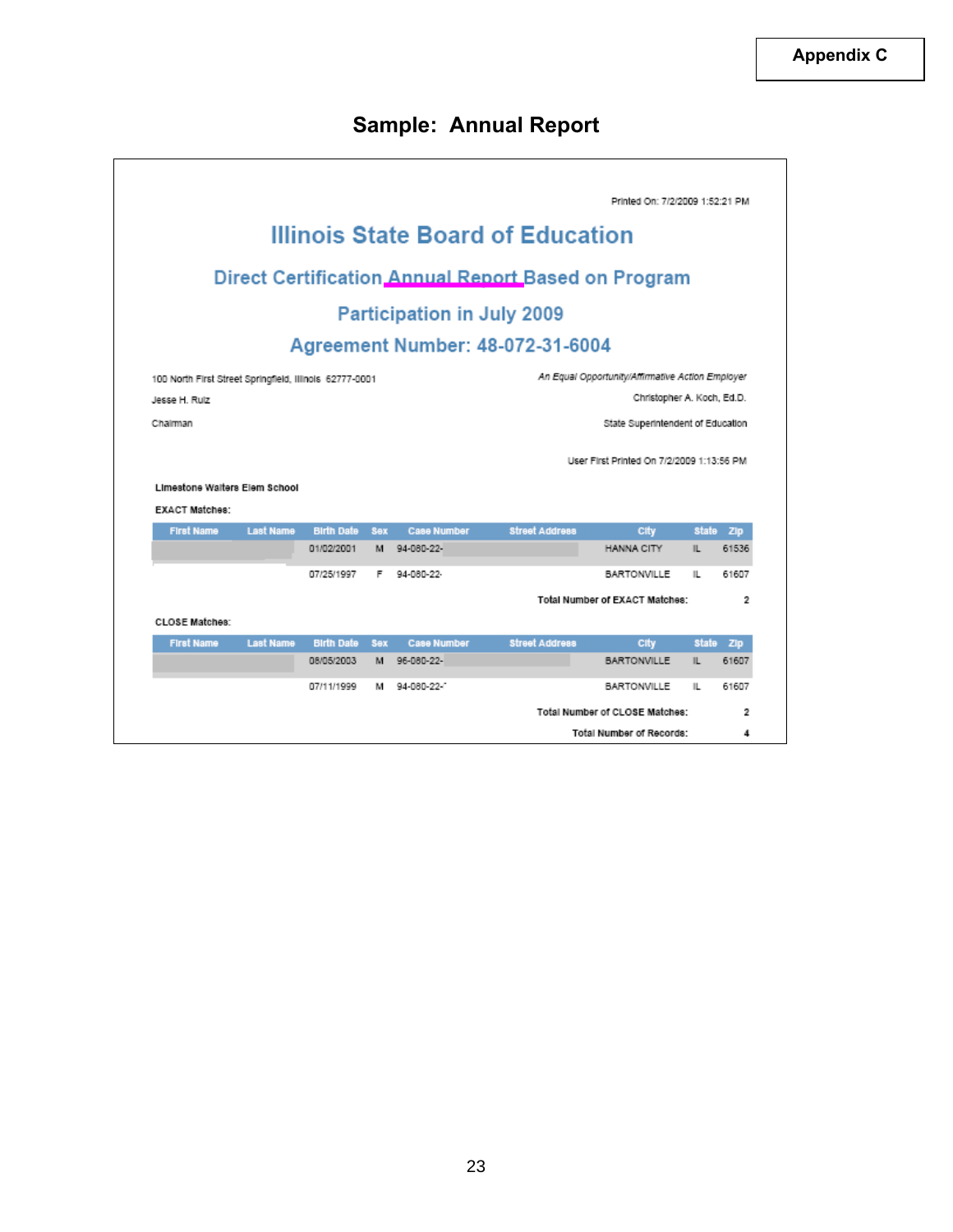# **Sample: Annual Report**

|                                                         |                  |                   |            |                                   |                                                     | Printed On: 7/2/2009 1:52:21 PM                                                |              |                                                           |
|---------------------------------------------------------|------------------|-------------------|------------|-----------------------------------|-----------------------------------------------------|--------------------------------------------------------------------------------|--------------|-----------------------------------------------------------|
|                                                         |                  |                   |            |                                   | <b>Illinois State Board of Education</b>            |                                                                                |              |                                                           |
|                                                         |                  |                   |            |                                   | Direct Certification Annual Report Based on Program |                                                                                |              |                                                           |
|                                                         |                  |                   |            | <b>Participation in July 2009</b> |                                                     |                                                                                |              |                                                           |
|                                                         |                  |                   |            |                                   | Agreement Number: 48-072-31-6004                    |                                                                                |              |                                                           |
| 100 North First Street Springfield, Illinois 62777-0001 |                  |                   |            |                                   |                                                     | An Equal Opportunity/Affirmative Action Employer                               |              |                                                           |
| Jesse H. Rulz                                           |                  |                   |            |                                   |                                                     | Christopher A. Koch, Ed.D.                                                     |              |                                                           |
| Chairman                                                |                  |                   |            |                                   |                                                     |                                                                                |              |                                                           |
| Limestone Walters Elem School                           |                  |                   |            |                                   |                                                     | State Superintendent of Education<br>User First Printed On 7/2/2009 1:13:56 PM |              |                                                           |
| <b>EXACT Matches:</b>                                   |                  |                   |            |                                   |                                                     |                                                                                |              |                                                           |
| <b>First Name</b>                                       | <b>Last Name</b> | <b>Birth Date</b> | <b>Sex</b> | <b>Case Number</b>                | <b>Street Address</b>                               | City                                                                           |              |                                                           |
|                                                         |                  | 01/02/2001        | M          | 94-080-22                         |                                                     | <b>HANNA CITY</b>                                                              | Ш.           |                                                           |
|                                                         |                  | 07/25/1997        | F          | 94-080-22-                        |                                                     | <b>BARTONVILLE</b>                                                             | IL.          |                                                           |
|                                                         |                  |                   |            |                                   |                                                     | Total Number of EXACT Matches:                                                 |              |                                                           |
| <b>CLOSE Matches:</b>                                   |                  |                   |            |                                   |                                                     |                                                                                |              |                                                           |
| <b>First Name</b>                                       | <b>Last Name</b> | <b>Birth Date</b> | <b>Sex</b> | <b>Case Number</b>                | <b>Street Address</b>                               | City                                                                           | <b>State</b> |                                                           |
|                                                         |                  | 08/05/2003        | м          | 96-080-22-                        |                                                     | <b>BARTONVILLE</b>                                                             | IL.          |                                                           |
|                                                         |                  | 07/11/1999        | м          | 94-080-22-                        |                                                     | <b>BARTONVILLE</b>                                                             | IL           | State Zip<br>61536<br>61607<br>2<br>Zip<br>61607<br>61607 |
|                                                         |                  |                   |            |                                   |                                                     | Total Number of CLOSE Matches:                                                 |              | 2                                                         |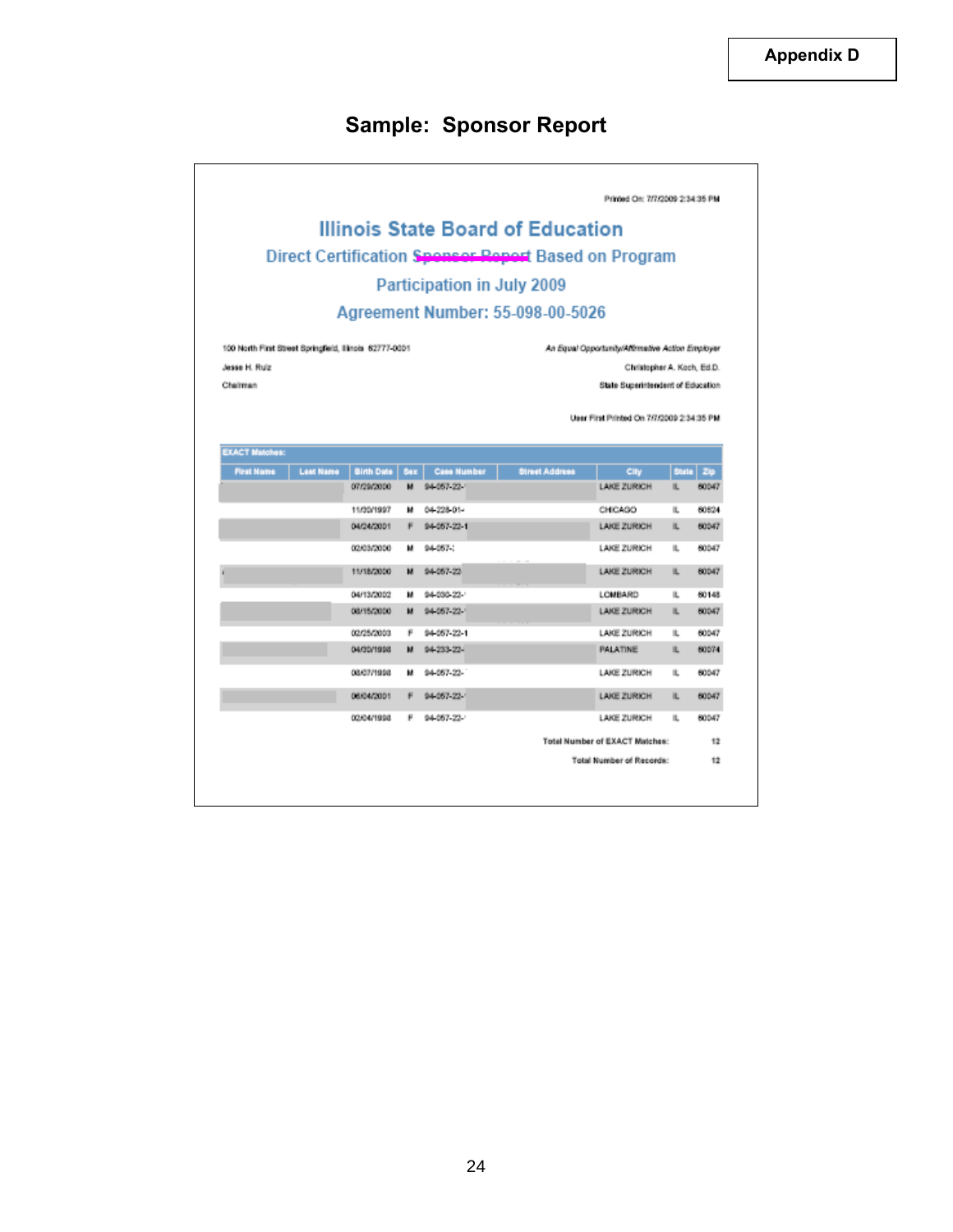# **Sample: Sponsor Report**

| Direct Certification Spensor Report Based on Program<br>Participation in July 2009      |                                                      |
|-----------------------------------------------------------------------------------------|------------------------------------------------------|
|                                                                                         |                                                      |
|                                                                                         |                                                      |
|                                                                                         |                                                      |
| Agreement Number: 55-098-00-5026                                                        |                                                      |
| 100 North First Street Springfield, Illinois 62777-0001                                 | An Equal Opportunity/Althmetive Action Employer      |
| Jesse H. Ruiz                                                                           | Christopher A. Koch, Ed.D.                           |
| Chairman                                                                                | State Superintendent of Education                    |
|                                                                                         |                                                      |
|                                                                                         | User First Printed On 7/7/2009 2:34:35 PM            |
|                                                                                         |                                                      |
| <b>EXACT Matches:</b>                                                                   |                                                      |
| <b>Case Number</b><br><b>First Name</b><br><b>Last Name</b><br><b>Birth Date</b><br>Bax | <b>Street Address</b><br>City<br><b>State</b><br>Zip |
| 07/29/2000<br>м<br>94-057-22-1                                                          | LAKE ZURICH<br>60047<br>IL.                          |
| 11/30/1997<br>04-228-01-<br>м                                                           | CHICAGO<br>IL.<br>60624                              |
| 04/24/2001<br>94-057-22-1<br>۴                                                          | LAKE ZURICH<br>60047<br>IL.                          |
|                                                                                         |                                                      |
| 02/03/2000<br>94 057 :<br>м                                                             | LAKE ZURICH<br>60047<br>IL.                          |
| 11/18/2000<br>94 057-22<br>м                                                            | LAKE ZURICH<br>60047<br>IL.                          |
| 04/13/2002<br>94-030-22-<br>м                                                           | <b>LOMBARD</b><br>IL.<br>60148                       |
| 94 057 22<br>08/15/2000<br>м                                                            | LAKE ZURICH<br>60047<br>п.                           |
| 02/25/2003<br>94-057-22-1<br>я                                                          | LAKE ZURICH<br>60047<br>IL.                          |
| 04/30/1998<br>94-233-22-<br>u                                                           | <b>PALATINE</b><br>60074<br>IL.                      |
| 08/07/1998<br>94-057-22-                                                                | LAKE ZURICH<br>60047<br>IL.                          |
| 03/04/2001<br>94-057-22-1<br>F                                                          | LAKE ZURICH<br>IL.<br>60047                          |
| 94-057-22-<br>02/04/1998<br>F                                                           | 60047<br>LAKE ZURICH<br>IL.                          |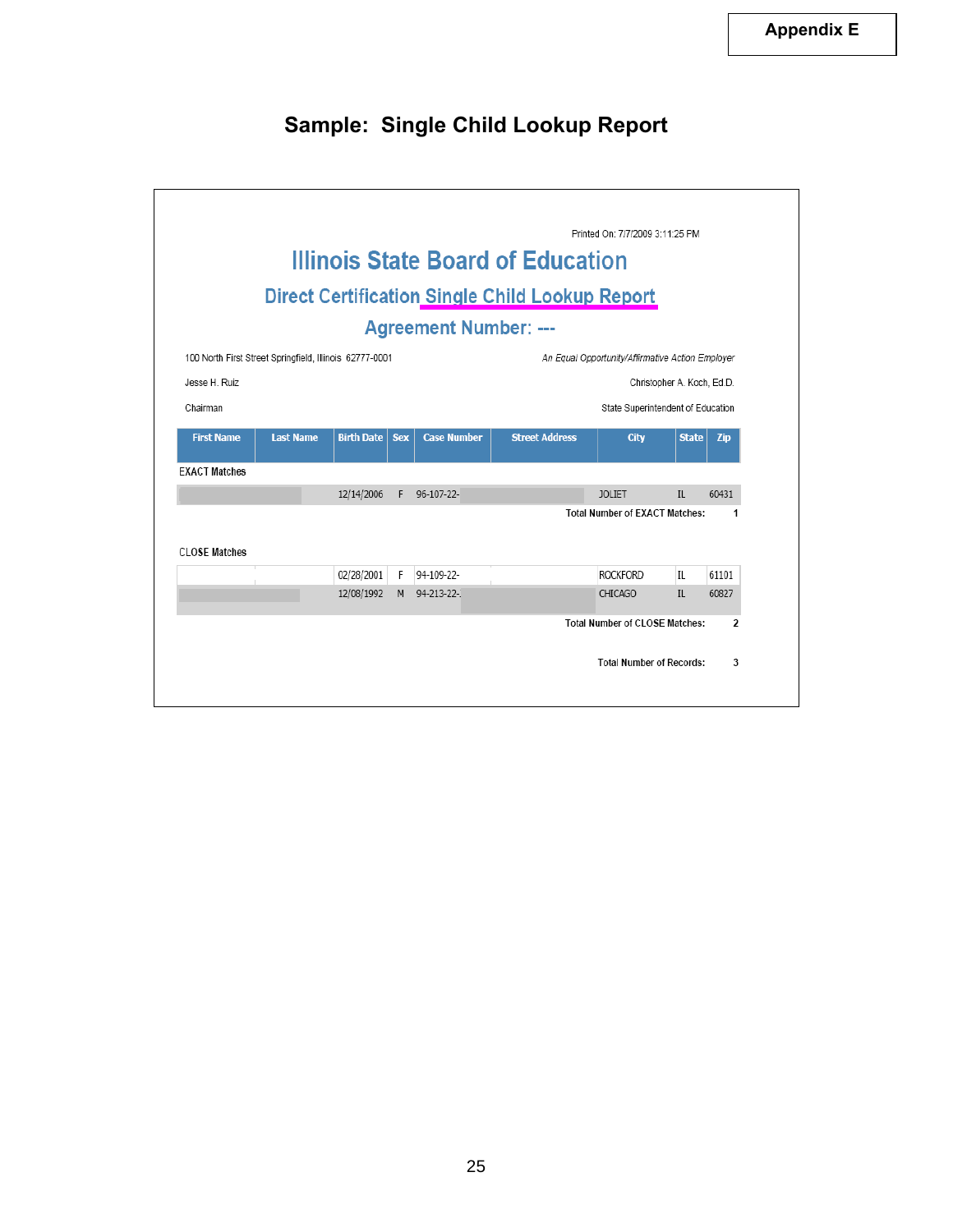# **Sample: Single Child Lookup Report**

|                                                         |                  |                   |            |                              | <b>Illinois State Board of Education</b><br><b>Direct Certification Single Child Lookup Report</b> | Printed On: 7/7/2009 3:11:25 PM                  |              |       |
|---------------------------------------------------------|------------------|-------------------|------------|------------------------------|----------------------------------------------------------------------------------------------------|--------------------------------------------------|--------------|-------|
|                                                         |                  |                   |            |                              |                                                                                                    |                                                  |              |       |
|                                                         |                  |                   |            | <b>Agreement Number: ---</b> |                                                                                                    |                                                  |              |       |
| 100 North First Street Springfield, Illinois 62777-0001 |                  |                   |            |                              |                                                                                                    | An Equal Opportunity/Affirmative Action Employer |              |       |
| Jesse H. Ruiz                                           |                  |                   |            |                              |                                                                                                    | Christopher A. Koch, Ed.D.                       |              |       |
| Chairman                                                |                  |                   |            |                              |                                                                                                    | State Superintendent of Education                |              |       |
| <b>First Name</b>                                       | <b>Last Name</b> | <b>Birth Date</b> | <b>Sex</b> | <b>Case Number</b>           | <b>Street Address</b>                                                                              | <b>City</b>                                      | <b>State</b> | Zip   |
| <b>EXACT Matches</b>                                    |                  |                   |            |                              |                                                                                                    |                                                  |              |       |
|                                                         |                  | 12/14/2006        | F          | 96-107-22-                   |                                                                                                    | <b>JOLIET</b>                                    | IL.          | 60431 |
|                                                         |                  |                   |            |                              |                                                                                                    | <b>Total Number of EXACT Matches:</b>            |              | 1     |
|                                                         |                  |                   |            |                              |                                                                                                    |                                                  |              |       |
|                                                         |                  |                   |            |                              |                                                                                                    |                                                  |              |       |
|                                                         |                  | 02/28/2001        | F          | 94-109-22-                   |                                                                                                    | <b>ROCKFORD</b>                                  | IL           | 61101 |
| <b>CLOSE Matches</b>                                    |                  | 12/08/1992        | M          | 94-213-22-                   |                                                                                                    | CHICAGO                                          | IL           | 60827 |
|                                                         |                  |                   |            |                              |                                                                                                    | <b>Total Number of CLOSE Matches:</b>            |              | 2     |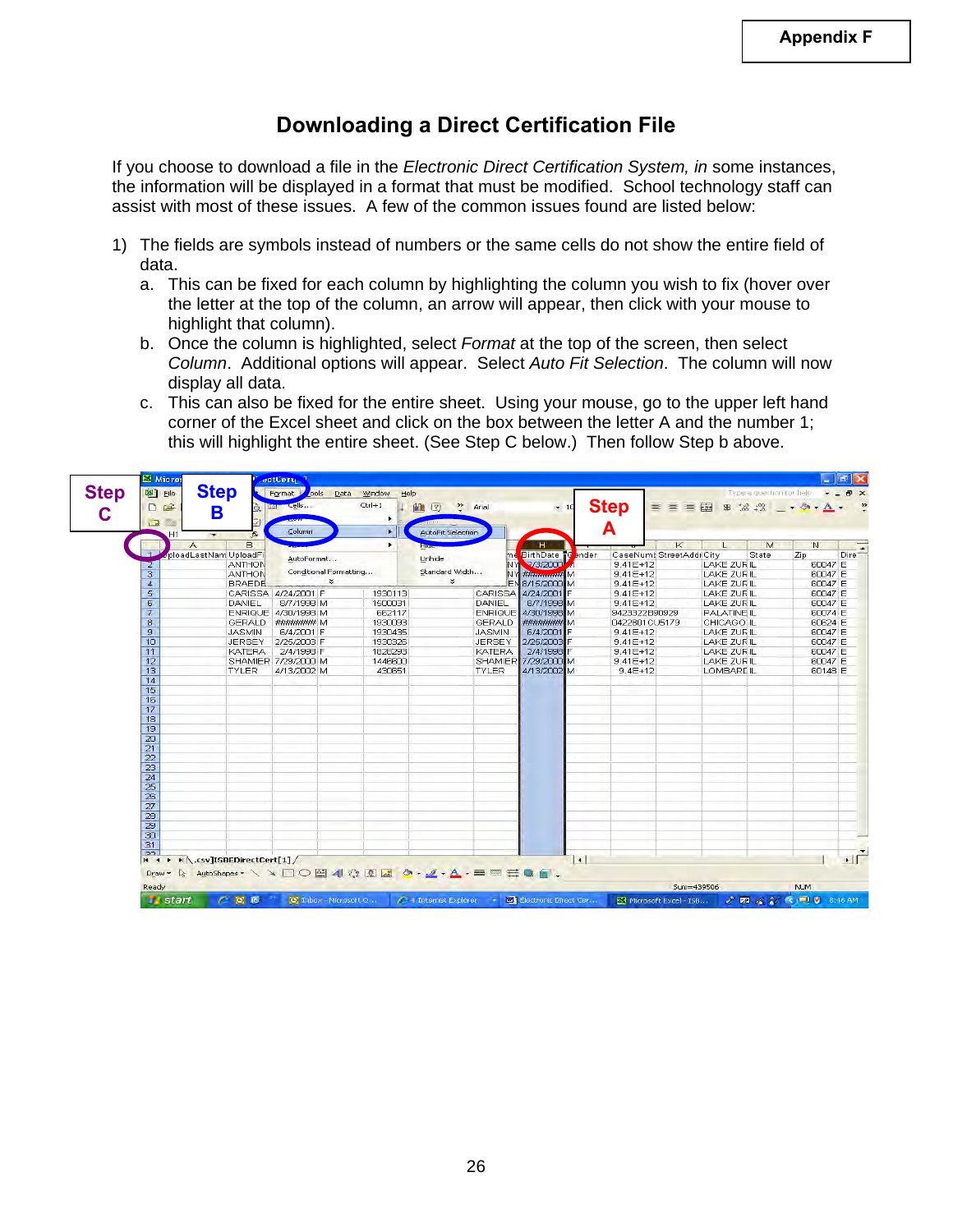### **Downloading a Direct Certification File**

If you choose to download a file in the *Electronic Direct Certification System, in* some instances, the information will be displayed in a format that must be modified. School technology staff can assist with most of these issues. A few of the common issues found are listed below:

- 1) The fields are symbols instead of numbers or the same cells do not show the entire field of data.
	- a. This can be fixed for each column by highlighting the column you wish to fix (hover over the letter at the top of the column, an arrow will appear, then click with your mouse to highlight that column).
	- b. Once the column is highlighted, select *Format* at the top of the screen, then select *Column*. Additional options will appear. Select *Auto Fit Selection*. The column will now display all data.
	- c. This can also be fixed for the entire sheet. Using your mouse, go to the upper left hand corner of the Excel sheet and click on the box between the letter A and the number 1; this will highlight the entire sheet. (See Step C below.) Then follow Step b above.